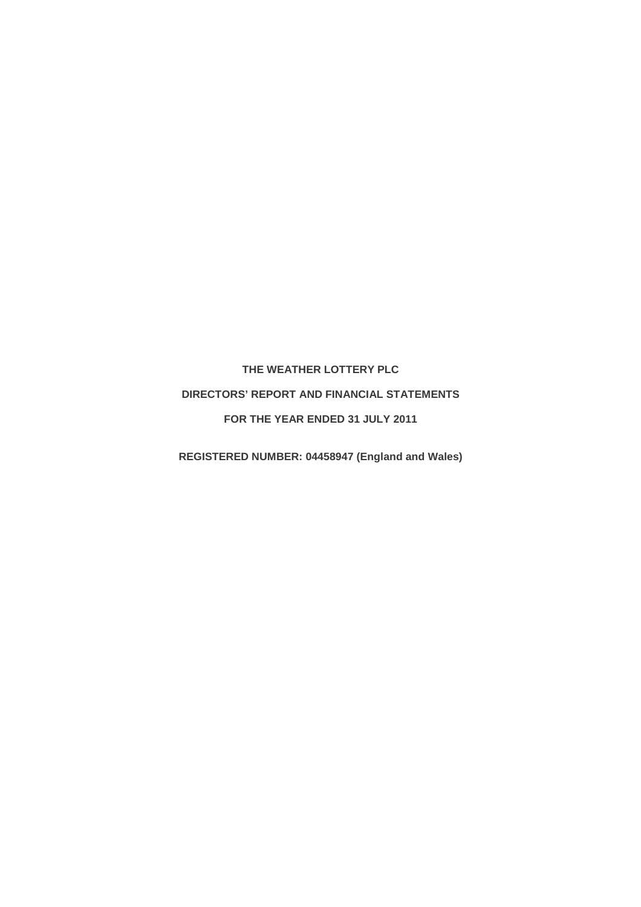# **THE WEATHER LOTTERY PLC DIRECTORS' REPORT AND FINANCIAL STATEMENTS FOR THE YEAR ENDED 31 JULY 2011**

**REGISTERED NUMBER: 04458947 (England and Wales)**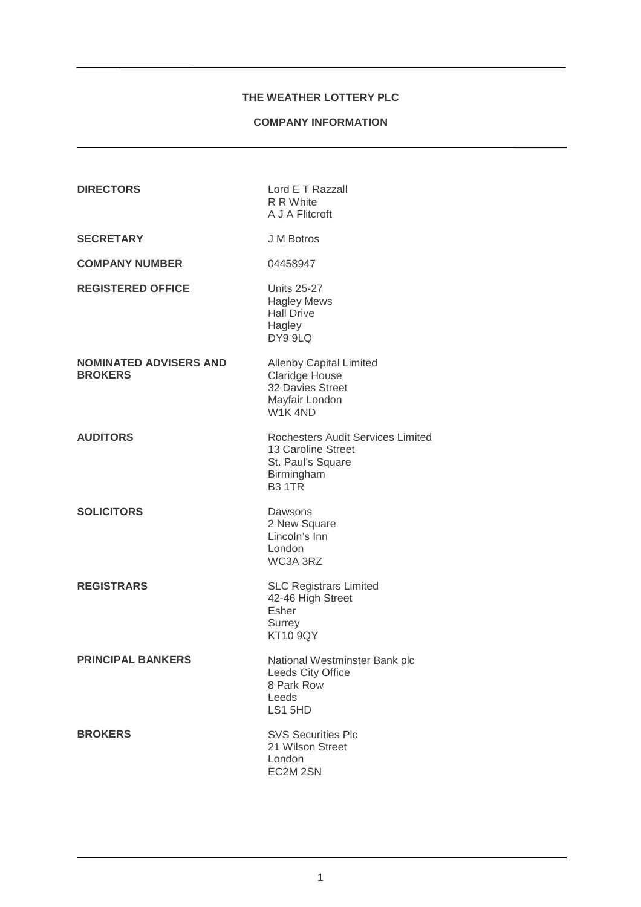# **COMPANY INFORMATION**

| <b>DIRECTORS</b>                                | Lord E T Razzall<br>R R White<br>A J A Flitcroft                                                                   |
|-------------------------------------------------|--------------------------------------------------------------------------------------------------------------------|
| <b>SECRETARY</b>                                | J M Botros                                                                                                         |
| <b>COMPANY NUMBER</b>                           | 04458947                                                                                                           |
| <b>REGISTERED OFFICE</b>                        | <b>Units 25-27</b><br><b>Hagley Mews</b><br><b>Hall Drive</b><br>Hagley<br>DY9 9LQ                                 |
| <b>NOMINATED ADVISERS AND</b><br><b>BROKERS</b> | <b>Allenby Capital Limited</b><br><b>Claridge House</b><br>32 Davies Street<br>Mayfair London<br>W1K4ND            |
| <b>AUDITORS</b>                                 | <b>Rochesters Audit Services Limited</b><br>13 Caroline Street<br>St. Paul's Square<br>Birmingham<br><b>B3 1TR</b> |
| <b>SOLICITORS</b>                               | Dawsons<br>2 New Square<br>Lincoln's Inn<br>London<br>WC3A 3RZ                                                     |
| <b>REGISTRARS</b>                               | <b>SLC Registrars Limited</b><br>42-46 High Street<br>Esher<br>Surrey<br><b>KT10 9QY</b>                           |
| <b>PRINCIPAL BANKERS</b>                        | National Westminster Bank plc<br>Leeds City Office<br>8 Park Row<br>Leeds<br>LS1 5HD                               |
| <b>BROKERS</b>                                  | <b>SVS Securities Plc</b><br>21 Wilson Street<br>London<br>EC2M 2SN                                                |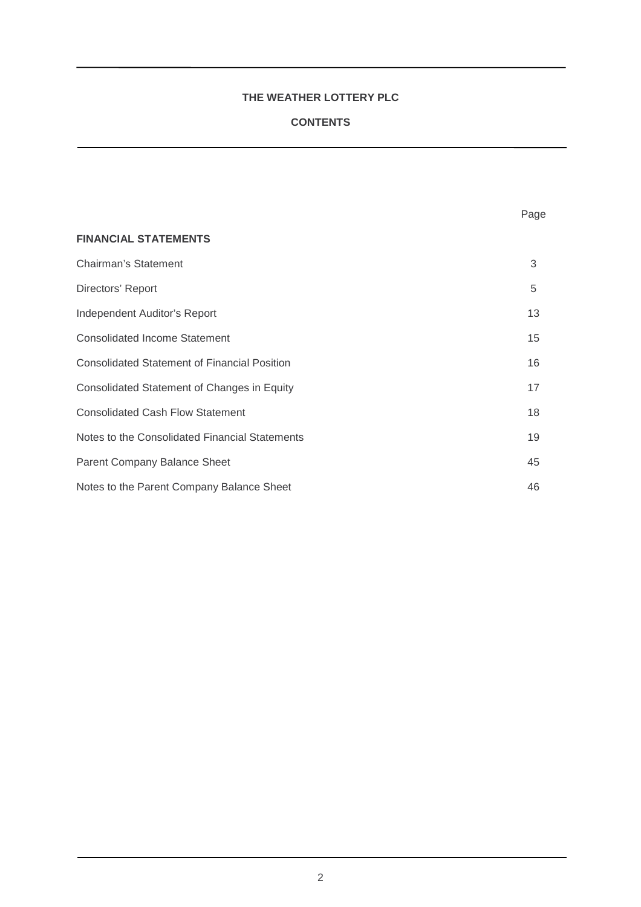# **CONTENTS**

Page

| <b>FINANCIAL STATEMENTS</b>                         |                  |
|-----------------------------------------------------|------------------|
| Chairman's Statement                                | 3                |
| Directors' Report                                   | 5                |
| Independent Auditor's Report                        | 13               |
| <b>Consolidated Income Statement</b>                | 15 <sup>15</sup> |
| <b>Consolidated Statement of Financial Position</b> | 16               |
| Consolidated Statement of Changes in Equity         | 17               |
| <b>Consolidated Cash Flow Statement</b>             | 18               |
| Notes to the Consolidated Financial Statements      | 19               |
| Parent Company Balance Sheet                        | 45               |
| Notes to the Parent Company Balance Sheet           | 46               |

2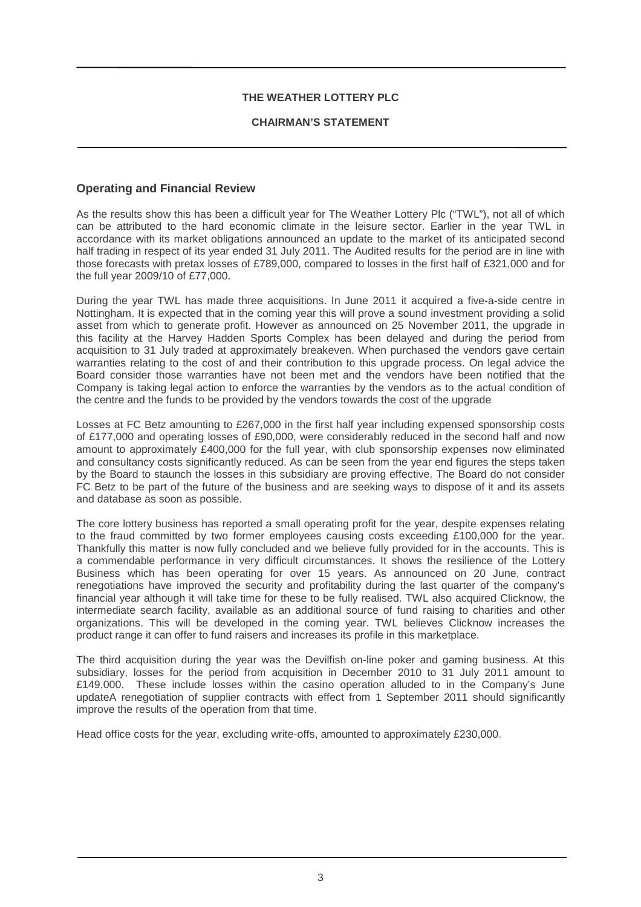# **CHAIRMAN'S STATEMENT**

# **Operating and Financial Review**

As the results show this has been a difficult year for The Weather Lottery Plc ("TWL"), not all of which can be attributed to the hard economic climate in the leisure sector. Earlier in the year TWL in accordance with its market obligations announced an update to the market of its anticipated second half trading in respect of its year ended 31 July 2011. The Audited results for the period are in line with those forecasts with pretax losses of £789,000, compared to losses in the first half of £321,000 and for the full year 2009/10 of £77,000.

During the year TWL has made three acquisitions. In June 2011 it acquired a five-a-side centre in Nottingham. It is expected that in the coming year this will prove a sound investment providing a solid asset from which to generate profit. However as announced on 25 November 2011, the upgrade in this facility at the Harvey Hadden Sports Complex has been delayed and during the period from acquisition to 31 July traded at approximately breakeven. When purchased the vendors gave certain warranties relating to the cost of and their contribution to this upgrade process. On legal advice the Board consider those warranties have not been met and the vendors have been notified that the Company is taking legal action to enforce the warranties by the vendors as to the actual condition of the centre and the funds to be provided by the vendors towards the cost of the upgrade

Losses at FC Betz amounting to £267,000 in the first half year including expensed sponsorship costs of £177,000 and operating losses of £90,000, were considerably reduced in the second half and now amount to approximately £400,000 for the full year, with club sponsorship expenses now eliminated and consultancy costs significantly reduced. As can be seen from the year end figures the steps taken by the Board to staunch the losses in this subsidiary are proving effective. The Board do not consider FC Betz to be part of the future of the business and are seeking ways to dispose of it and its assets and database as soon as possible.

The core lottery business has reported a small operating profit for the year, despite expenses relating to the fraud committed by two former employees causing costs exceeding £100,000 for the year. Thankfully this matter is now fully concluded and we believe fully provided for in the accounts. This is a commendable performance in very difficult circumstances. It shows the resilience of the Lottery Business which has been operating for over 15 years. As announced on 20 June, contract renegotiations have improved the security and profitability during the last quarter of the company's financial year although it will take time for these to be fully realised. TWL also acquired Clicknow, the intermediate search facility, available as an additional source of fund raising to charities and other organizations. This will be developed in the coming year. TWL believes Clicknow increases the product range it can offer to fund raisers and increases its profile in this marketplace.

The third acquisition during the year was the Devilfish on-line poker and gaming business. At this subsidiary, losses for the period from acquisition in December 2010 to 31 July 2011 amount to £149,000. These include losses within the casino operation alluded to in the Company's June updateA renegotiation of supplier contracts with effect from 1 September 2011 should significantly improve the results of the operation from that time.

Head office costs for the year, excluding write-offs, amounted to approximately £230,000.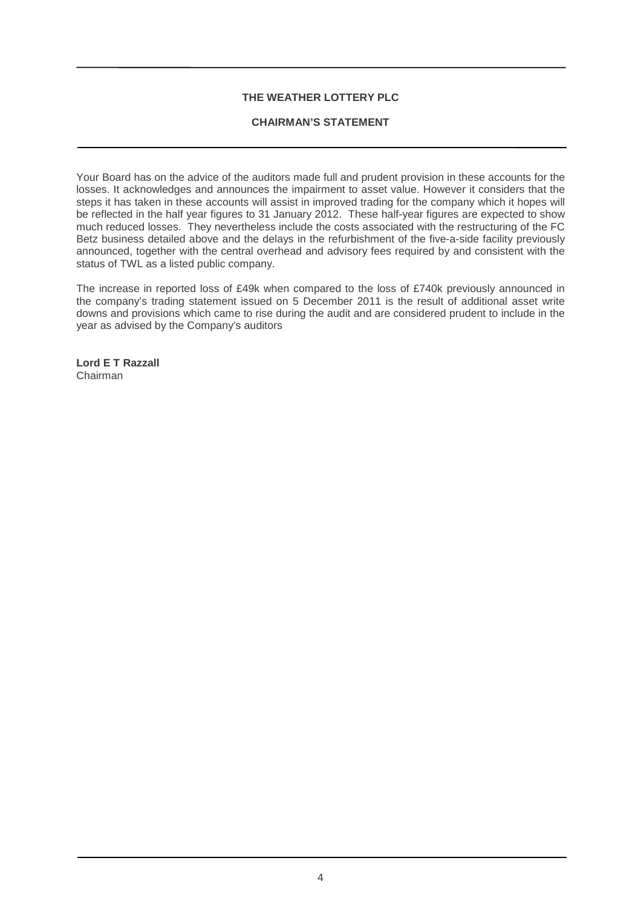# **CHAIRMAN'S STATEMENT**

Your Board has on the advice of the auditors made full and prudent provision in these accounts for the losses. It acknowledges and announces the impairment to asset value. However it considers that the steps it has taken in these accounts will assist in improved trading for the company which it hopes will be reflected in the half year figures to 31 January 2012. These half-year figures are expected to show much reduced losses. They nevertheless include the costs associated with the restructuring of the FC Betz business detailed above and the delays in the refurbishment of the five-a-side facility previously announced, together with the central overhead and advisory fees required by and consistent with the status of TWL as a listed public company.

The increase in reported loss of £49k when compared to the loss of £740k previously announced in the company's trading statement issued on 5 December 2011 is the result of additional asset write downs and provisions which came to rise during the audit and are considered prudent to include in the year as advised by the Company's auditors

**Lord E T Razzall**  Chairman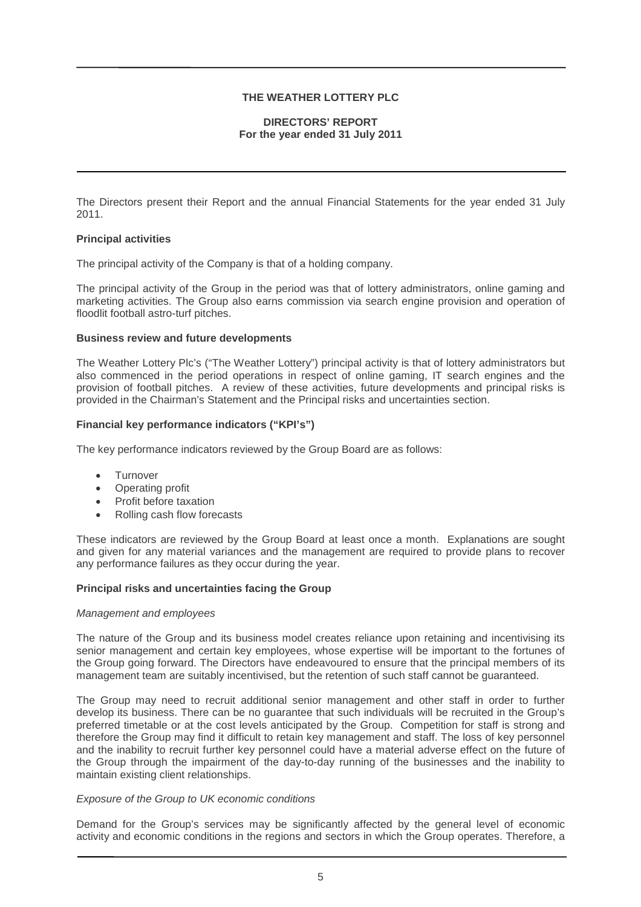#### **DIRECTORS' REPORT For the year ended 31 July 2011**

The Directors present their Report and the annual Financial Statements for the year ended 31 July 2011.

#### **Principal activities**

The principal activity of the Company is that of a holding company.

The principal activity of the Group in the period was that of lottery administrators, online gaming and marketing activities. The Group also earns commission via search engine provision and operation of floodlit football astro-turf pitches.

#### **Business review and future developments**

The Weather Lottery Plc's ("The Weather Lottery") principal activity is that of lottery administrators but also commenced in the period operations in respect of online gaming, IT search engines and the provision of football pitches. A review of these activities, future developments and principal risks is provided in the Chairman's Statement and the Principal risks and uncertainties section.

#### **Financial key performance indicators ("KPI's")**

The key performance indicators reviewed by the Group Board are as follows:

- **Turnover**
- **Operating profit**
- Profit before taxation
- Rolling cash flow forecasts

These indicators are reviewed by the Group Board at least once a month. Explanations are sought and given for any material variances and the management are required to provide plans to recover any performance failures as they occur during the year.

#### **Principal risks and uncertainties facing the Group**

#### Management and employees

The nature of the Group and its business model creates reliance upon retaining and incentivising its senior management and certain key employees, whose expertise will be important to the fortunes of the Group going forward. The Directors have endeavoured to ensure that the principal members of its management team are suitably incentivised, but the retention of such staff cannot be guaranteed.

The Group may need to recruit additional senior management and other staff in order to further develop its business. There can be no guarantee that such individuals will be recruited in the Group's preferred timetable or at the cost levels anticipated by the Group. Competition for staff is strong and therefore the Group may find it difficult to retain key management and staff. The loss of key personnel and the inability to recruit further key personnel could have a material adverse effect on the future of the Group through the impairment of the day-to-day running of the businesses and the inability to maintain existing client relationships.

#### Exposure of the Group to UK economic conditions

Demand for the Group's services may be significantly affected by the general level of economic activity and economic conditions in the regions and sectors in which the Group operates. Therefore, a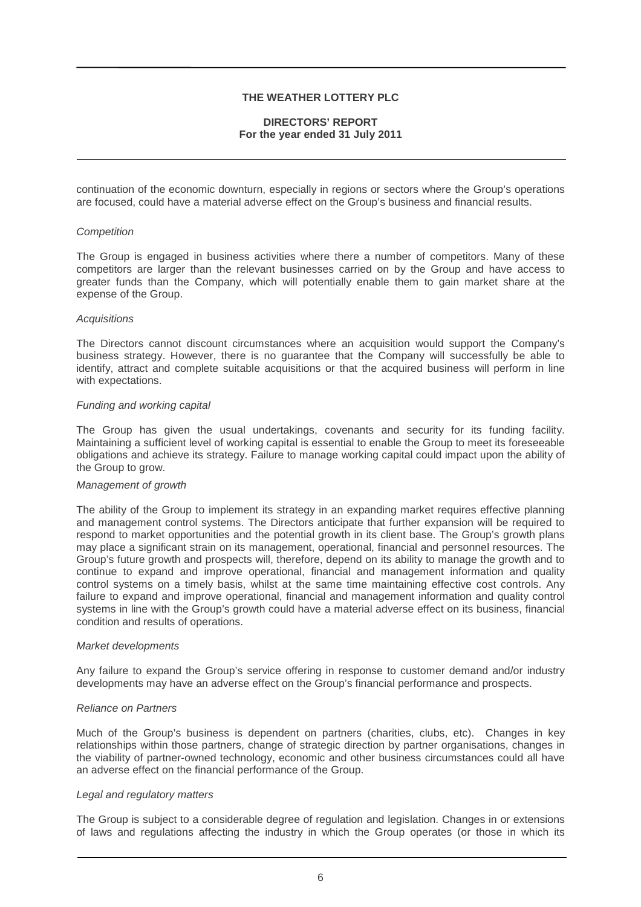#### **DIRECTORS' REPORT For the year ended 31 July 2011**

continuation of the economic downturn, especially in regions or sectors where the Group's operations are focused, could have a material adverse effect on the Group's business and financial results.

#### **Competition**

The Group is engaged in business activities where there a number of competitors. Many of these competitors are larger than the relevant businesses carried on by the Group and have access to greater funds than the Company, which will potentially enable them to gain market share at the expense of the Group.

#### **Acquisitions**

The Directors cannot discount circumstances where an acquisition would support the Company's business strategy. However, there is no guarantee that the Company will successfully be able to identify, attract and complete suitable acquisitions or that the acquired business will perform in line with expectations.

#### Funding and working capital

The Group has given the usual undertakings, covenants and security for its funding facility. Maintaining a sufficient level of working capital is essential to enable the Group to meet its foreseeable obligations and achieve its strategy. Failure to manage working capital could impact upon the ability of the Group to grow.

#### Management of growth

The ability of the Group to implement its strategy in an expanding market requires effective planning and management control systems. The Directors anticipate that further expansion will be required to respond to market opportunities and the potential growth in its client base. The Group's growth plans may place a significant strain on its management, operational, financial and personnel resources. The Group's future growth and prospects will, therefore, depend on its ability to manage the growth and to continue to expand and improve operational, financial and management information and quality control systems on a timely basis, whilst at the same time maintaining effective cost controls. Any failure to expand and improve operational, financial and management information and quality control systems in line with the Group's growth could have a material adverse effect on its business, financial condition and results of operations.

#### Market developments

Any failure to expand the Group's service offering in response to customer demand and/or industry developments may have an adverse effect on the Group's financial performance and prospects.

#### Reliance on Partners

Much of the Group's business is dependent on partners (charities, clubs, etc). Changes in key relationships within those partners, change of strategic direction by partner organisations, changes in the viability of partner-owned technology, economic and other business circumstances could all have an adverse effect on the financial performance of the Group.

#### Legal and regulatory matters

The Group is subject to a considerable degree of regulation and legislation. Changes in or extensions of laws and regulations affecting the industry in which the Group operates (or those in which its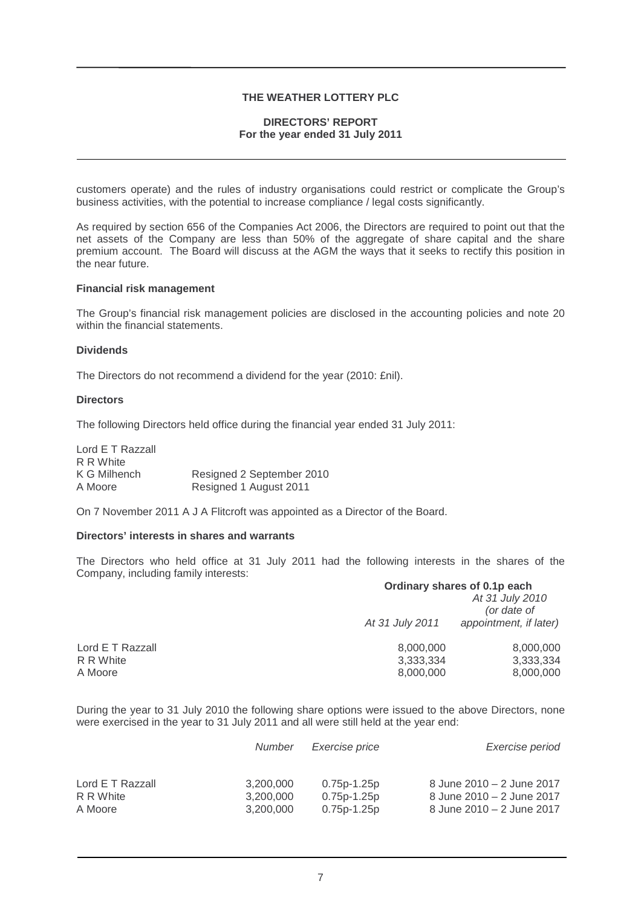#### **DIRECTORS' REPORT For the year ended 31 July 2011**

customers operate) and the rules of industry organisations could restrict or complicate the Group's business activities, with the potential to increase compliance / legal costs significantly.

As required by section 656 of the Companies Act 2006, the Directors are required to point out that the net assets of the Company are less than 50% of the aggregate of share capital and the share premium account. The Board will discuss at the AGM the ways that it seeks to rectify this position in the near future.

#### **Financial risk management**

The Group's financial risk management policies are disclosed in the accounting policies and note 20 within the financial statements.

#### **Dividends**

The Directors do not recommend a dividend for the year (2010: £nil).

#### **Directors**

The following Directors held office during the financial year ended 31 July 2011:

| Lord E T Razzall |                           |
|------------------|---------------------------|
| R R White        |                           |
| K G Milhench     | Resigned 2 September 2010 |
| A Moore          | Resigned 1 August 2011    |

On 7 November 2011 A J A Flitcroft was appointed as a Director of the Board.

#### **Directors' interests in shares and warrants**

The Directors who held office at 31 July 2011 had the following interests in the shares of the Company, including family interests:

|                  | Ordinary shares of 0.1p each |                        |  |
|------------------|------------------------------|------------------------|--|
|                  |                              | At 31 July 2010        |  |
|                  |                              | (or date of            |  |
|                  | At 31 July 2011              | appointment, if later) |  |
| Lord E T Razzall | 8,000,000                    | 8,000,000              |  |
| R R White        | 3,333,334                    | 3,333,334              |  |
| A Moore          | 8,000,000                    | 8,000,000              |  |

During the year to 31 July 2010 the following share options were issued to the above Directors, none were exercised in the year to 31 July 2011 and all were still held at the year end:

|                  | <b>Number</b> | Exercise price  | Exercise period           |
|------------------|---------------|-----------------|---------------------------|
| Lord E T Razzall | 3.200.000     | $0.75p - 1.25p$ | 8 June 2010 – 2 June 2017 |
| R R White        | 3.200.000     | $0.75p-1.25p$   | 8 June 2010 - 2 June 2017 |
| A Moore          | 3,200,000     | $0.75p-1.25p$   | 8 June 2010 - 2 June 2017 |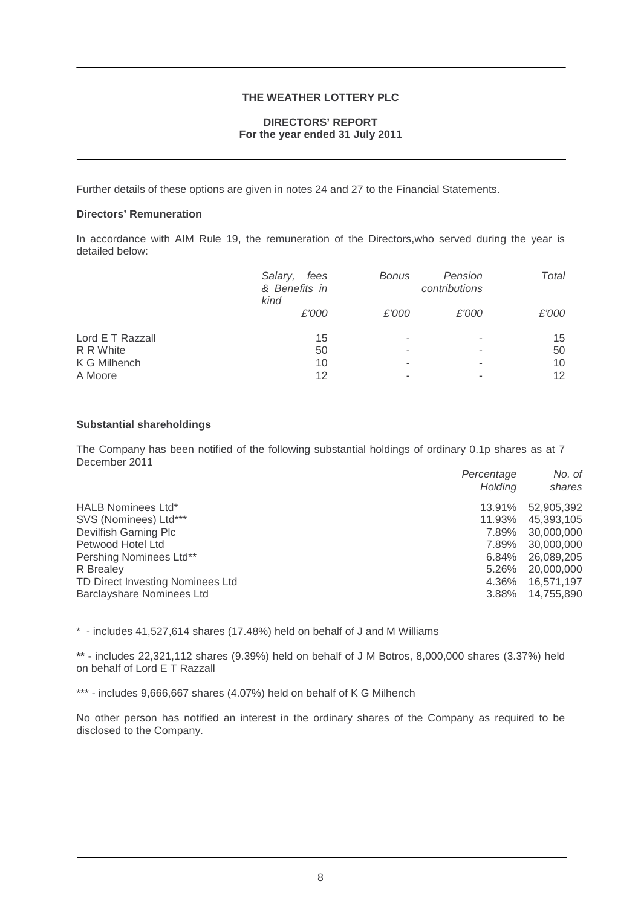#### **DIRECTORS' REPORT For the year ended 31 July 2011**

Further details of these options are given in notes 24 and 27 to the Financial Statements.

#### **Directors' Remuneration**

In accordance with AIM Rule 19, the remuneration of the Directors,who served during the year is detailed below:

|                           | Salary,<br>fees<br>& Benefits in<br>kind | <b>Bonus</b> | Pension<br>contributions      | Total    |
|---------------------------|------------------------------------------|--------------|-------------------------------|----------|
|                           | £'000                                    | £'000        | £'000                         | £'000    |
| Lord E T Razzall          | 15                                       | ۰            | $\blacksquare$                | 15       |
| R R White<br>K G Milhench | 50<br>10                                 | ۰<br>٠       | ۰<br>$\overline{\phantom{a}}$ | 50<br>10 |
| A Moore                   | 12                                       | ٠            |                               | 12       |

#### **Substantial shareholdings**

The Company has been notified of the following substantial holdings of ordinary 0.1p shares as at 7 December 2011

|                                  | Percentage<br>Holding | No. of<br>shares |
|----------------------------------|-----------------------|------------------|
| <b>HALB Nominees Ltd*</b>        | 13.91%                | 52,905,392       |
| SVS (Nominees) Ltd***            | 11.93%                | 45,393,105       |
| Devilfish Gaming Plc             | 7.89%                 | 30,000,000       |
| Petwood Hotel Ltd                | 7.89%                 | 30,000,000       |
| Pershing Nominees Ltd**          | 6.84%                 | 26.089.205       |
| R Brealey                        | 5.26%                 | 20,000,000       |
| TD Direct Investing Nominees Ltd | 4.36%                 | 16.571.197       |
| <b>Barclayshare Nominees Ltd</b> | 3.88%                 | 14,755,890       |

\* - includes 41,527,614 shares (17.48%) held on behalf of J and M Williams

**\*\* -** includes 22,321,112 shares (9.39%) held on behalf of J M Botros, 8,000,000 shares (3.37%) held on behalf of Lord E T Razzall

\*\*\* - includes 9,666,667 shares (4.07%) held on behalf of K G Milhench

No other person has notified an interest in the ordinary shares of the Company as required to be disclosed to the Company.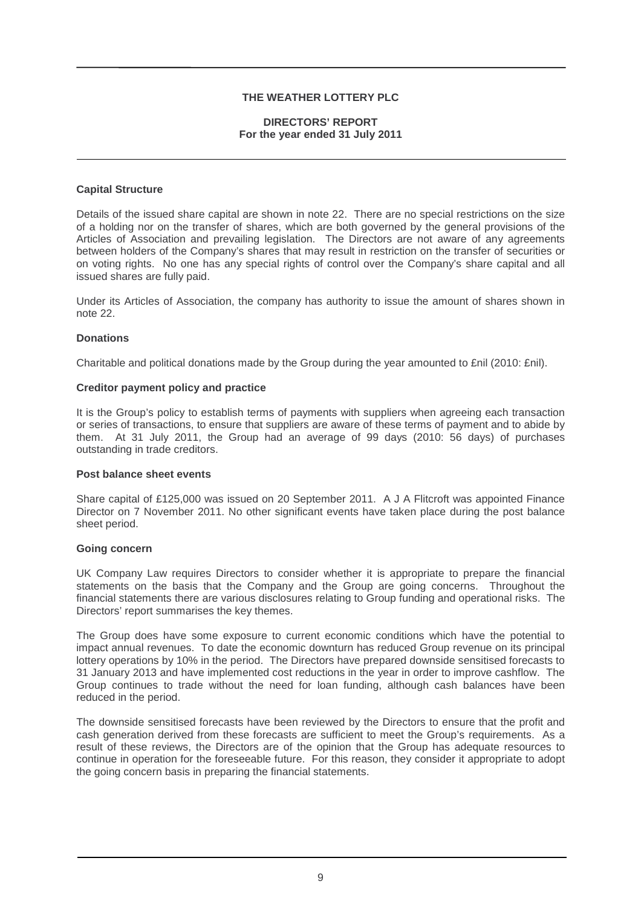#### **DIRECTORS' REPORT For the year ended 31 July 2011**

#### **Capital Structure**

Details of the issued share capital are shown in note 22. There are no special restrictions on the size of a holding nor on the transfer of shares, which are both governed by the general provisions of the Articles of Association and prevailing legislation. The Directors are not aware of any agreements between holders of the Company's shares that may result in restriction on the transfer of securities or on voting rights. No one has any special rights of control over the Company's share capital and all issued shares are fully paid.

Under its Articles of Association, the company has authority to issue the amount of shares shown in note 22.

#### **Donations**

Charitable and political donations made by the Group during the year amounted to £nil (2010: £nil).

#### **Creditor payment policy and practice**

It is the Group's policy to establish terms of payments with suppliers when agreeing each transaction or series of transactions, to ensure that suppliers are aware of these terms of payment and to abide by them. At 31 July 2011, the Group had an average of 99 days (2010: 56 days) of purchases outstanding in trade creditors.

#### **Post balance sheet events**

Share capital of £125,000 was issued on 20 September 2011. A J A Flitcroft was appointed Finance Director on 7 November 2011. No other significant events have taken place during the post balance sheet period.

#### **Going concern**

UK Company Law requires Directors to consider whether it is appropriate to prepare the financial statements on the basis that the Company and the Group are going concerns. Throughout the financial statements there are various disclosures relating to Group funding and operational risks. The Directors' report summarises the key themes.

The Group does have some exposure to current economic conditions which have the potential to impact annual revenues. To date the economic downturn has reduced Group revenue on its principal lottery operations by 10% in the period. The Directors have prepared downside sensitised forecasts to 31 January 2013 and have implemented cost reductions in the year in order to improve cashflow. The Group continues to trade without the need for loan funding, although cash balances have been reduced in the period.

The downside sensitised forecasts have been reviewed by the Directors to ensure that the profit and cash generation derived from these forecasts are sufficient to meet the Group's requirements. As a result of these reviews, the Directors are of the opinion that the Group has adequate resources to continue in operation for the foreseeable future. For this reason, they consider it appropriate to adopt the going concern basis in preparing the financial statements.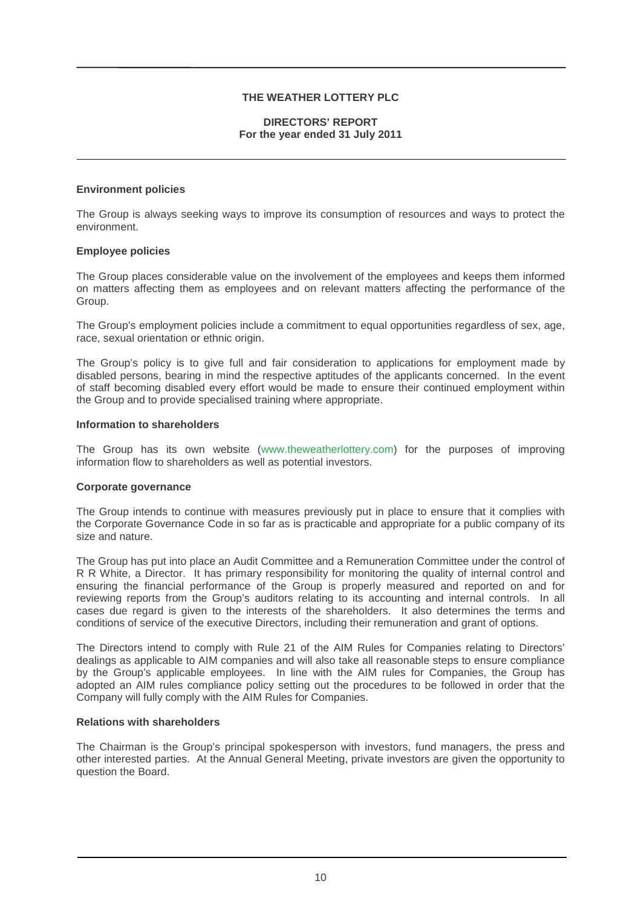#### **DIRECTORS' REPORT For the year ended 31 July 2011**

#### **Environment policies**

The Group is always seeking ways to improve its consumption of resources and ways to protect the environment.

#### **Employee policies**

The Group places considerable value on the involvement of the employees and keeps them informed on matters affecting them as employees and on relevant matters affecting the performance of the Group.

The Group's employment policies include a commitment to equal opportunities regardless of sex, age, race, sexual orientation or ethnic origin.

The Group's policy is to give full and fair consideration to applications for employment made by disabled persons, bearing in mind the respective aptitudes of the applicants concerned. In the event of staff becoming disabled every effort would be made to ensure their continued employment within the Group and to provide specialised training where appropriate.

#### **Information to shareholders**

The Group has its own website (www.theweatherlottery.com) for the purposes of improving information flow to shareholders as well as potential investors.

#### **Corporate governance**

The Group intends to continue with measures previously put in place to ensure that it complies with the Corporate Governance Code in so far as is practicable and appropriate for a public company of its size and nature.

The Group has put into place an Audit Committee and a Remuneration Committee under the control of R R White, a Director. It has primary responsibility for monitoring the quality of internal control and ensuring the financial performance of the Group is properly measured and reported on and for reviewing reports from the Group's auditors relating to its accounting and internal controls. In all cases due regard is given to the interests of the shareholders. It also determines the terms and conditions of service of the executive Directors, including their remuneration and grant of options.

The Directors intend to comply with Rule 21 of the AIM Rules for Companies relating to Directors' dealings as applicable to AIM companies and will also take all reasonable steps to ensure compliance by the Group's applicable employees. In line with the AIM rules for Companies, the Group has adopted an AIM rules compliance policy setting out the procedures to be followed in order that the Company will fully comply with the AIM Rules for Companies.

#### **Relations with shareholders**

The Chairman is the Group's principal spokesperson with investors, fund managers, the press and other interested parties. At the Annual General Meeting, private investors are given the opportunity to question the Board.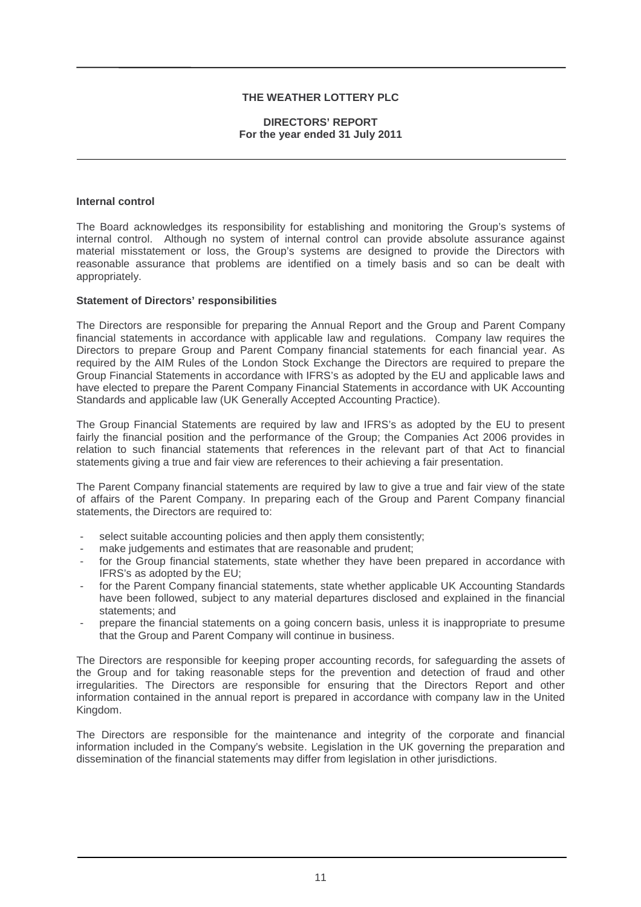#### **DIRECTORS' REPORT For the year ended 31 July 2011**

#### **Internal control**

The Board acknowledges its responsibility for establishing and monitoring the Group's systems of internal control. Although no system of internal control can provide absolute assurance against material misstatement or loss, the Group's systems are designed to provide the Directors with reasonable assurance that problems are identified on a timely basis and so can be dealt with appropriately.

#### **Statement of Directors' responsibilities**

The Directors are responsible for preparing the Annual Report and the Group and Parent Company financial statements in accordance with applicable law and regulations. Company law requires the Directors to prepare Group and Parent Company financial statements for each financial year. As required by the AIM Rules of the London Stock Exchange the Directors are required to prepare the Group Financial Statements in accordance with IFRS's as adopted by the EU and applicable laws and have elected to prepare the Parent Company Financial Statements in accordance with UK Accounting Standards and applicable law (UK Generally Accepted Accounting Practice).

The Group Financial Statements are required by law and IFRS's as adopted by the EU to present fairly the financial position and the performance of the Group; the Companies Act 2006 provides in relation to such financial statements that references in the relevant part of that Act to financial statements giving a true and fair view are references to their achieving a fair presentation.

The Parent Company financial statements are required by law to give a true and fair view of the state of affairs of the Parent Company. In preparing each of the Group and Parent Company financial statements, the Directors are required to:

- select suitable accounting policies and then apply them consistently;
- make judgements and estimates that are reasonable and prudent;
- for the Group financial statements, state whether they have been prepared in accordance with IFRS's as adopted by the EU;
- for the Parent Company financial statements, state whether applicable UK Accounting Standards have been followed, subject to any material departures disclosed and explained in the financial statements; and
- prepare the financial statements on a going concern basis, unless it is inappropriate to presume that the Group and Parent Company will continue in business.

The Directors are responsible for keeping proper accounting records, for safeguarding the assets of the Group and for taking reasonable steps for the prevention and detection of fraud and other irregularities. The Directors are responsible for ensuring that the Directors Report and other information contained in the annual report is prepared in accordance with company law in the United Kingdom.

The Directors are responsible for the maintenance and integrity of the corporate and financial information included in the Company's website. Legislation in the UK governing the preparation and dissemination of the financial statements may differ from legislation in other jurisdictions.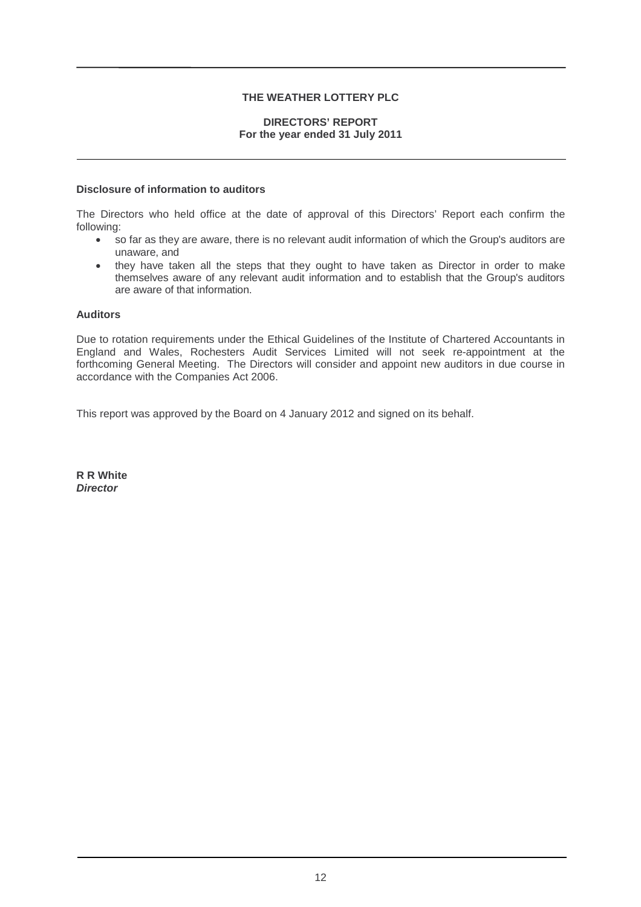#### **DIRECTORS' REPORT For the year ended 31 July 2011**

#### **Disclosure of information to auditors**

The Directors who held office at the date of approval of this Directors' Report each confirm the following:

- so far as they are aware, there is no relevant audit information of which the Group's auditors are unaware, and
- they have taken all the steps that they ought to have taken as Director in order to make themselves aware of any relevant audit information and to establish that the Group's auditors are aware of that information.

#### **Auditors**

Due to rotation requirements under the Ethical Guidelines of the Institute of Chartered Accountants in England and Wales, Rochesters Audit Services Limited will not seek re-appointment at the forthcoming General Meeting. The Directors will consider and appoint new auditors in due course in accordance with the Companies Act 2006.

This report was approved by the Board on 4 January 2012 and signed on its behalf.

**R R White Director**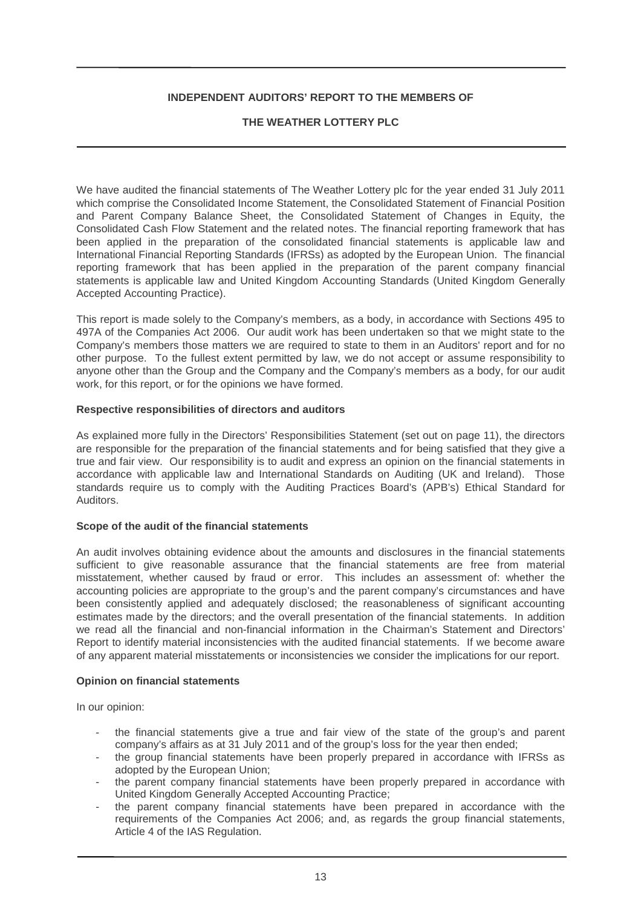# **INDEPENDENT AUDITORS' REPORT TO THE MEMBERS OF**

# **THE WEATHER LOTTERY PLC**

We have audited the financial statements of The Weather Lottery plc for the year ended 31 July 2011 which comprise the Consolidated Income Statement, the Consolidated Statement of Financial Position and Parent Company Balance Sheet, the Consolidated Statement of Changes in Equity, the Consolidated Cash Flow Statement and the related notes. The financial reporting framework that has been applied in the preparation of the consolidated financial statements is applicable law and International Financial Reporting Standards (IFRSs) as adopted by the European Union. The financial reporting framework that has been applied in the preparation of the parent company financial statements is applicable law and United Kingdom Accounting Standards (United Kingdom Generally Accepted Accounting Practice).

This report is made solely to the Company's members, as a body, in accordance with Sections 495 to 497A of the Companies Act 2006. Our audit work has been undertaken so that we might state to the Company's members those matters we are required to state to them in an Auditors' report and for no other purpose. To the fullest extent permitted by law, we do not accept or assume responsibility to anyone other than the Group and the Company and the Company's members as a body, for our audit work, for this report, or for the opinions we have formed.

# **Respective responsibilities of directors and auditors**

As explained more fully in the Directors' Responsibilities Statement (set out on page 11), the directors are responsible for the preparation of the financial statements and for being satisfied that they give a true and fair view. Our responsibility is to audit and express an opinion on the financial statements in accordance with applicable law and International Standards on Auditing (UK and Ireland). Those standards require us to comply with the Auditing Practices Board's (APB's) Ethical Standard for Auditors.

#### **Scope of the audit of the financial statements**

An audit involves obtaining evidence about the amounts and disclosures in the financial statements sufficient to give reasonable assurance that the financial statements are free from material misstatement, whether caused by fraud or error. This includes an assessment of: whether the accounting policies are appropriate to the group's and the parent company's circumstances and have been consistently applied and adequately disclosed; the reasonableness of significant accounting estimates made by the directors; and the overall presentation of the financial statements. In addition we read all the financial and non-financial information in the Chairman's Statement and Directors' Report to identify material inconsistencies with the audited financial statements. If we become aware of any apparent material misstatements or inconsistencies we consider the implications for our report.

# **Opinion on financial statements**

In our opinion:

- the financial statements give a true and fair view of the state of the group's and parent company's affairs as at 31 July 2011 and of the group's loss for the year then ended;
- the group financial statements have been properly prepared in accordance with IFRSs as adopted by the European Union;
- the parent company financial statements have been properly prepared in accordance with United Kingdom Generally Accepted Accounting Practice;
- the parent company financial statements have been prepared in accordance with the requirements of the Companies Act 2006; and, as regards the group financial statements, Article 4 of the IAS Regulation.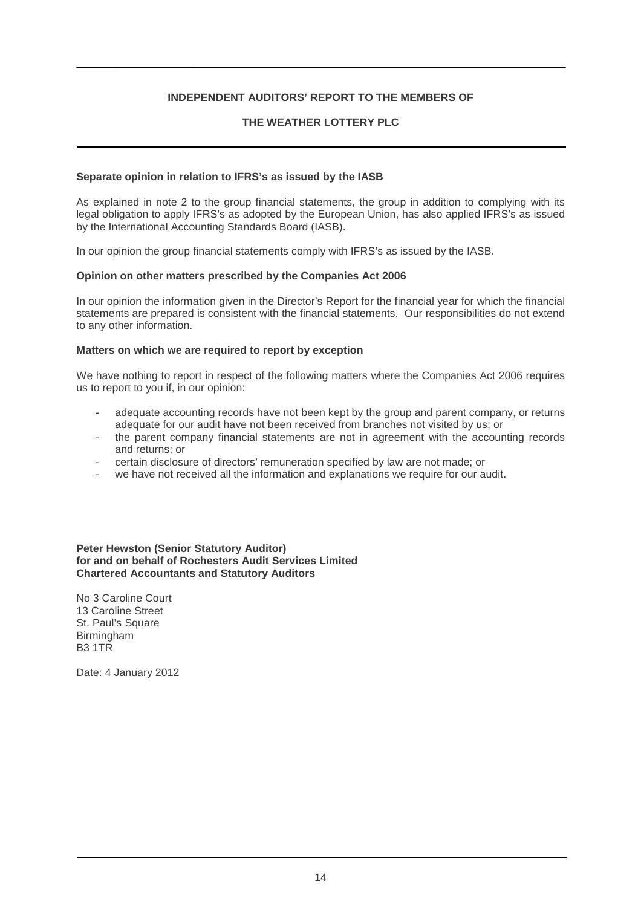# **INDEPENDENT AUDITORS' REPORT TO THE MEMBERS OF**

# **THE WEATHER LOTTERY PLC**

#### **Separate opinion in relation to IFRS's as issued by the IASB**

As explained in note 2 to the group financial statements, the group in addition to complying with its legal obligation to apply IFRS's as adopted by the European Union, has also applied IFRS's as issued by the International Accounting Standards Board (IASB).

In our opinion the group financial statements comply with IFRS's as issued by the IASB.

#### **Opinion on other matters prescribed by the Companies Act 2006**

In our opinion the information given in the Director's Report for the financial year for which the financial statements are prepared is consistent with the financial statements. Our responsibilities do not extend to any other information.

#### **Matters on which we are required to report by exception**

We have nothing to report in respect of the following matters where the Companies Act 2006 requires us to report to you if, in our opinion:

- adequate accounting records have not been kept by the group and parent company, or returns adequate for our audit have not been received from branches not visited by us; or
- the parent company financial statements are not in agreement with the accounting records and returns; or
- certain disclosure of directors' remuneration specified by law are not made; or
- we have not received all the information and explanations we require for our audit.

#### **Peter Hewston (Senior Statutory Auditor) for and on behalf of Rochesters Audit Services Limited Chartered Accountants and Statutory Auditors**

No 3 Caroline Court 13 Caroline Street St. Paul's Square **Birmingham** B3 1TR

Date: 4 January 2012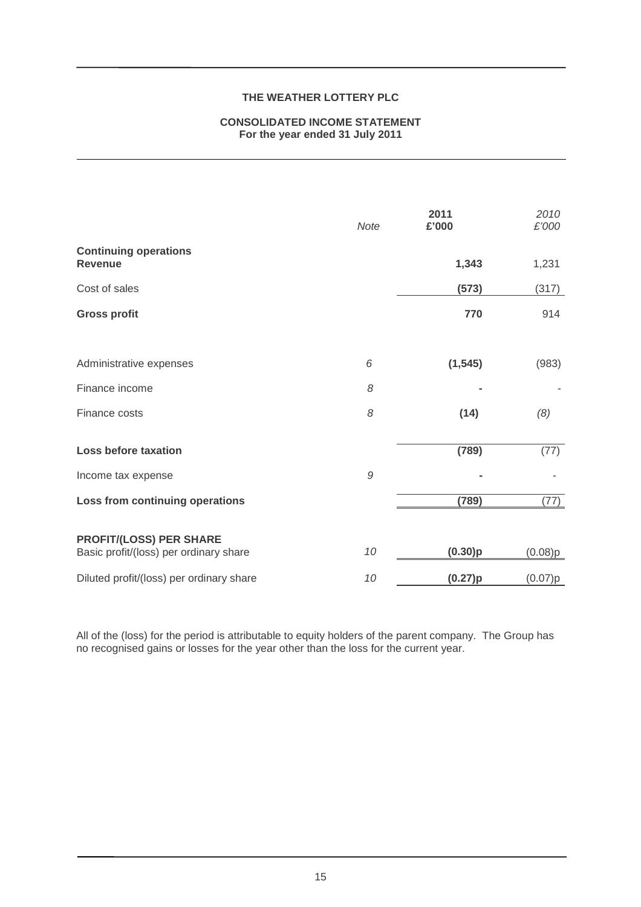#### **CONSOLIDATED INCOME STATEMENT For the year ended 31 July 2011**

|                                                                          | Note | 2011<br>£'000 | 2010<br>£'000 |
|--------------------------------------------------------------------------|------|---------------|---------------|
| <b>Continuing operations</b><br><b>Revenue</b>                           |      | 1,343         | 1,231         |
| Cost of sales                                                            |      | (573)         | (317)         |
| <b>Gross profit</b>                                                      |      | 770           | 914           |
|                                                                          |      |               |               |
| Administrative expenses                                                  | 6    | (1, 545)      | (983)         |
| Finance income                                                           | 8    |               |               |
| Finance costs                                                            | 8    | (14)          | (8)           |
| <b>Loss before taxation</b>                                              |      | (789)         | (77)          |
| Income tax expense                                                       | 9    |               |               |
| Loss from continuing operations                                          |      | (789)         | (77)          |
| <b>PROFIT/(LOSS) PER SHARE</b><br>Basic profit/(loss) per ordinary share | 10   | (0.30)p       | (0.08)p       |
| Diluted profit/(loss) per ordinary share                                 | 10   | (0.27)p       | (0.07)p       |

All of the (loss) for the period is attributable to equity holders of the parent company. The Group has no recognised gains or losses for the year other than the loss for the current year.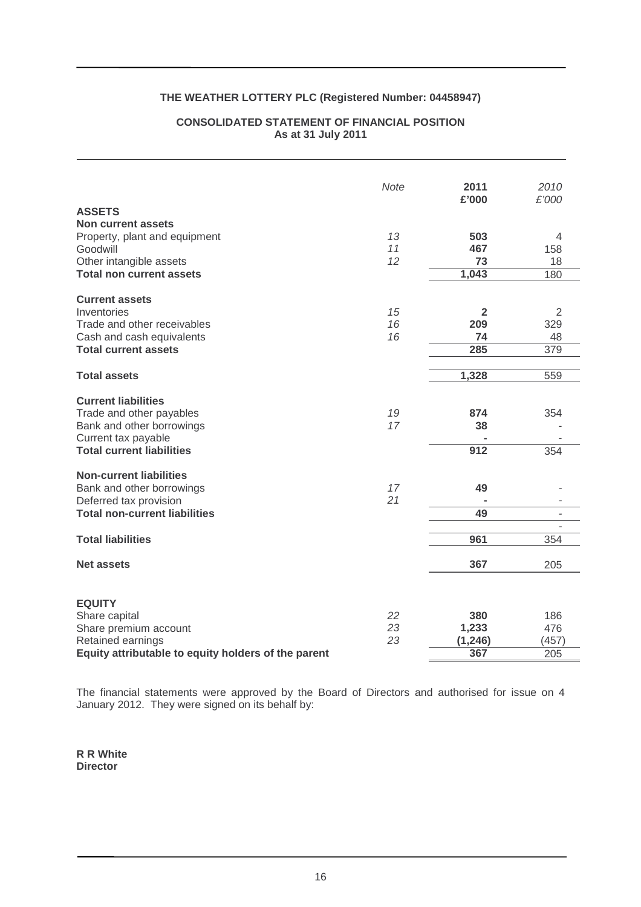# **THE WEATHER LOTTERY PLC (Registered Number: 04458947)**

## **CONSOLIDATED STATEMENT OF FINANCIAL POSITION As at 31 July 2011**

|                                                                                                                                                       | <b>Note</b>    | 2011<br>£'000                      | 2010<br>£'000                                        |
|-------------------------------------------------------------------------------------------------------------------------------------------------------|----------------|------------------------------------|------------------------------------------------------|
| <b>ASSETS</b><br><b>Non current assets</b><br>Property, plant and equipment<br>Goodwill<br>Other intangible assets<br><b>Total non current assets</b> | 13<br>11<br>12 | 503<br>467<br>73<br>1,043          | 4<br>158<br>18<br>180                                |
| <b>Current assets</b><br>Inventories<br>Trade and other receivables<br>Cash and cash equivalents<br><b>Total current assets</b>                       | 15<br>16<br>16 | $\overline{2}$<br>209<br>74<br>285 | 2<br>329<br>48<br>379                                |
| <b>Total assets</b>                                                                                                                                   |                | 1,328                              | 559                                                  |
| <b>Current liabilities</b><br>Trade and other payables<br>Bank and other borrowings<br>Current tax payable<br><b>Total current liabilities</b>        | 19<br>17       | 874<br>38<br>$\overline{912}$      | 354<br>354                                           |
| <b>Non-current liabilities</b><br>Bank and other borrowings<br>Deferred tax provision<br><b>Total non-current liabilities</b>                         | 17<br>21       | 49<br>49                           | $\overline{\phantom{a}}$<br>$\overline{\phantom{a}}$ |
| <b>Total liabilities</b>                                                                                                                              |                | 961                                | 354                                                  |
| <b>Net assets</b>                                                                                                                                     |                | 367                                | 205                                                  |
| <b>EQUITY</b><br>Share capital<br>Share premium account<br>Retained earnings                                                                          | 22<br>23<br>23 | 380<br>1,233<br>(1, 246)           | 186<br>476<br>(457)                                  |
| Equity attributable to equity holders of the parent                                                                                                   |                | 367                                | 205                                                  |

The financial statements were approved by the Board of Directors and authorised for issue on 4 January 2012. They were signed on its behalf by:

**R R White Director**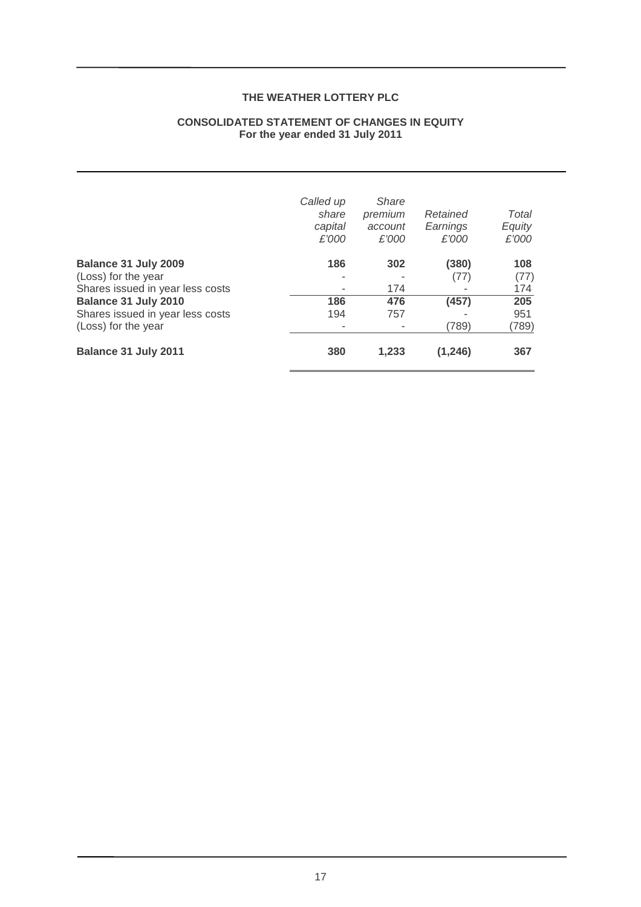#### **CONSOLIDATED STATEMENT OF CHANGES IN EQUITY For the year ended 31 July 2011**

|                                                                                 | Called up<br>share<br>capital<br>£'000 | Share<br>premium<br>account<br>£'000 | Retained<br>Earnings<br>£'000 | Total<br>Equity<br>£'000 |
|---------------------------------------------------------------------------------|----------------------------------------|--------------------------------------|-------------------------------|--------------------------|
| Balance 31 July 2009<br>(Loss) for the year<br>Shares issued in year less costs | 186                                    | 302<br>174                           | (380)<br>(77)                 | 108<br>(77)<br>174       |
| Balance 31 July 2010                                                            | 186                                    | 476                                  | (457)                         | 205                      |
| Shares issued in year less costs                                                | 194                                    | 757                                  |                               | 951                      |
| (Loss) for the year                                                             |                                        |                                      | (789)                         | (789)                    |
| Balance 31 July 2011                                                            | 380                                    | 1,233                                | (1, 246)                      | 367                      |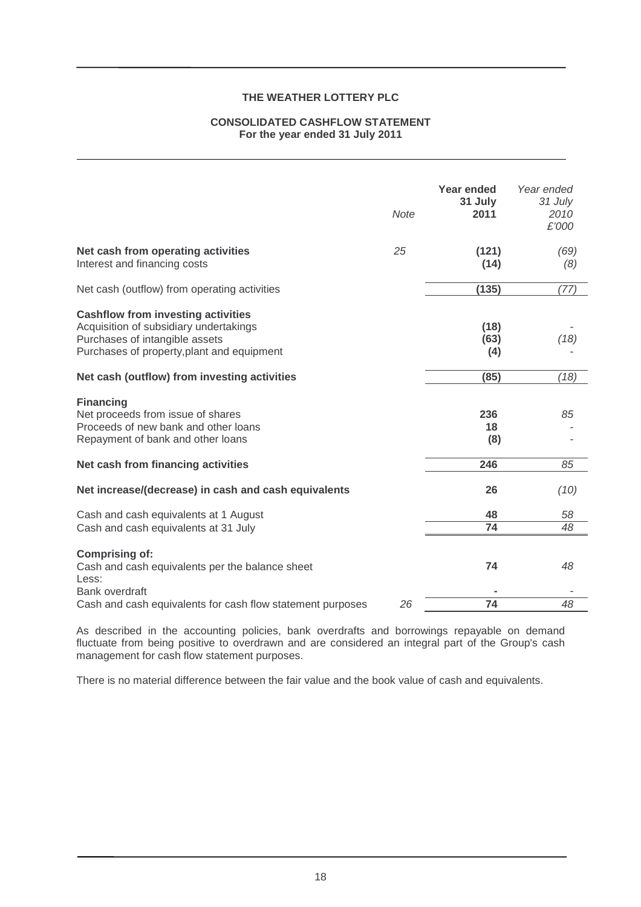#### **CONSOLIDATED CASHFLOW STATEMENT For the year ended 31 July 2011**

|                                                                                                                                                                     | <b>Note</b> | Year ended<br>31 July<br>2011 | Year ended<br>31 July<br>2010<br>£'000 |
|---------------------------------------------------------------------------------------------------------------------------------------------------------------------|-------------|-------------------------------|----------------------------------------|
| Net cash from operating activities<br>Interest and financing costs                                                                                                  | 25          | (121)<br>(14)                 | (69)<br>(8)                            |
| Net cash (outflow) from operating activities                                                                                                                        |             | (135)                         | (77)                                   |
| <b>Cashflow from investing activities</b><br>Acquisition of subsidiary undertakings<br>Purchases of intangible assets<br>Purchases of property, plant and equipment |             | (18)<br>(63)<br>(4)           | (18)                                   |
| Net cash (outflow) from investing activities                                                                                                                        |             | (85)                          | (18)                                   |
| <b>Financing</b><br>Net proceeds from issue of shares<br>Proceeds of new bank and other loans<br>Repayment of bank and other loans                                  |             | 236<br>18<br>(8)              | 85                                     |
| Net cash from financing activities                                                                                                                                  |             | 246                           | 85                                     |
| Net increase/(decrease) in cash and cash equivalents                                                                                                                |             | 26                            | (10)                                   |
| Cash and cash equivalents at 1 August<br>Cash and cash equivalents at 31 July                                                                                       |             | 48<br>74                      | 58<br>48                               |
| <b>Comprising of:</b><br>Cash and cash equivalents per the balance sheet<br>Less:<br>Bank overdraft                                                                 |             | 74                            | 48                                     |
| Cash and cash equivalents for cash flow statement purposes                                                                                                          | 26          | 74                            | 48                                     |

As described in the accounting policies, bank overdrafts and borrowings repayable on demand fluctuate from being positive to overdrawn and are considered an integral part of the Group's cash management for cash flow statement purposes.

There is no material difference between the fair value and the book value of cash and equivalents.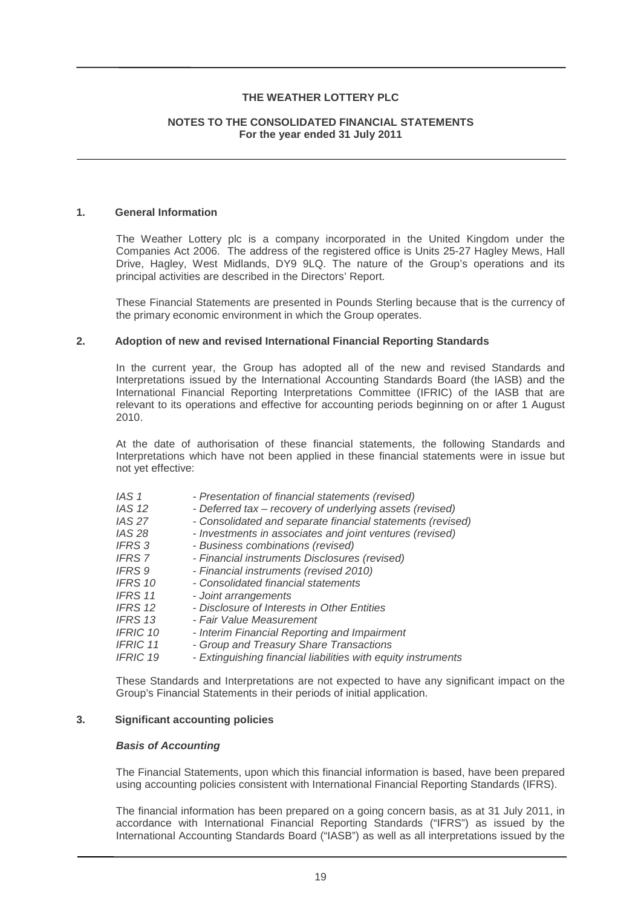#### **NOTES TO THE CONSOLIDATED FINANCIAL STATEMENTS For the year ended 31 July 2011**

#### **1. General Information**

The Weather Lottery plc is a company incorporated in the United Kingdom under the Companies Act 2006. The address of the registered office is Units 25-27 Hagley Mews, Hall Drive, Hagley, West Midlands, DY9 9LQ. The nature of the Group's operations and its principal activities are described in the Directors' Report.

These Financial Statements are presented in Pounds Sterling because that is the currency of the primary economic environment in which the Group operates.

#### **2. Adoption of new and revised International Financial Reporting Standards**

In the current year, the Group has adopted all of the new and revised Standards and Interpretations issued by the International Accounting Standards Board (the IASB) and the International Financial Reporting Interpretations Committee (IFRIC) of the IASB that are relevant to its operations and effective for accounting periods beginning on or after 1 August 2010.

At the date of authorisation of these financial statements, the following Standards and Interpretations which have not been applied in these financial statements were in issue but not yet effective:

| IAS 1                | - Presentation of financial statements (revised)              |
|----------------------|---------------------------------------------------------------|
| IAS 12               | - Deferred tax - recovery of underlying assets (revised)      |
| <b>IAS 27</b>        | - Consolidated and separate financial statements (revised)    |
| <i><b>IAS 28</b></i> | - Investments in associates and joint ventures (revised)      |
| <b>IFRS 3</b>        | - Business combinations (revised)                             |
| <b>IFRS 7</b>        | - Financial instruments Disclosures (revised)                 |
| <b>IFRS 9</b>        | - Financial instruments (revised 2010)                        |
| <b>IFRS 10</b>       | - Consolidated financial statements                           |
| <b>IFRS 11</b>       | - Joint arrangements                                          |
| IFRS 12              | - Disclosure of Interests in Other Entities                   |
| <b>IFRS 13</b>       | - Fair Value Measurement                                      |
| <b>IFRIC 10</b>      | - Interim Financial Reporting and Impairment                  |
| <b>IFRIC 11</b>      | - Group and Treasury Share Transactions                       |
| <b>IFRIC 19</b>      | - Extinguishing financial liabilities with equity instruments |
|                      |                                                               |

These Standards and Interpretations are not expected to have any significant impact on the Group's Financial Statements in their periods of initial application.

#### **3. Significant accounting policies**

#### **Basis of Accounting**

The Financial Statements, upon which this financial information is based, have been prepared using accounting policies consistent with International Financial Reporting Standards (IFRS).

The financial information has been prepared on a going concern basis, as at 31 July 2011, in accordance with International Financial Reporting Standards ("IFRS") as issued by the International Accounting Standards Board ("IASB") as well as all interpretations issued by the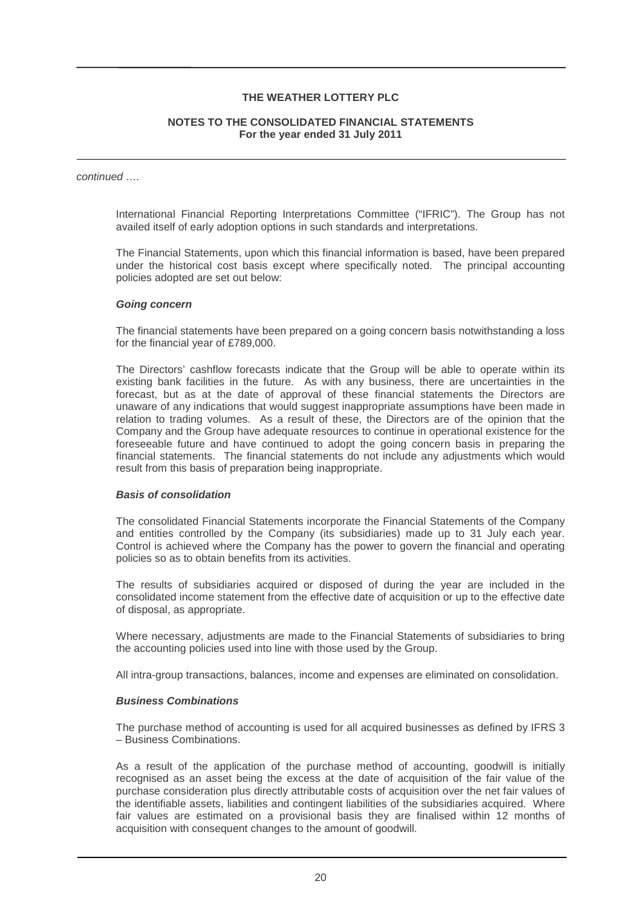#### **NOTES TO THE CONSOLIDATED FINANCIAL STATEMENTS For the year ended 31 July 2011**

#### continued ….

International Financial Reporting Interpretations Committee ("IFRIC"). The Group has not availed itself of early adoption options in such standards and interpretations.

The Financial Statements, upon which this financial information is based, have been prepared under the historical cost basis except where specifically noted. The principal accounting policies adopted are set out below:

#### **Going concern**

The financial statements have been prepared on a going concern basis notwithstanding a loss for the financial year of £789,000.

The Directors' cashflow forecasts indicate that the Group will be able to operate within its existing bank facilities in the future. As with any business, there are uncertainties in the forecast, but as at the date of approval of these financial statements the Directors are unaware of any indications that would suggest inappropriate assumptions have been made in relation to trading volumes. As a result of these, the Directors are of the opinion that the Company and the Group have adequate resources to continue in operational existence for the foreseeable future and have continued to adopt the going concern basis in preparing the financial statements. The financial statements do not include any adjustments which would result from this basis of preparation being inappropriate.

#### **Basis of consolidation**

The consolidated Financial Statements incorporate the Financial Statements of the Company and entities controlled by the Company (its subsidiaries) made up to 31 July each year. Control is achieved where the Company has the power to govern the financial and operating policies so as to obtain benefits from its activities.

The results of subsidiaries acquired or disposed of during the year are included in the consolidated income statement from the effective date of acquisition or up to the effective date of disposal, as appropriate.

Where necessary, adjustments are made to the Financial Statements of subsidiaries to bring the accounting policies used into line with those used by the Group.

All intra-group transactions, balances, income and expenses are eliminated on consolidation.

#### **Business Combinations**

The purchase method of accounting is used for all acquired businesses as defined by IFRS 3 – Business Combinations.

As a result of the application of the purchase method of accounting, goodwill is initially recognised as an asset being the excess at the date of acquisition of the fair value of the purchase consideration plus directly attributable costs of acquisition over the net fair values of the identifiable assets, liabilities and contingent liabilities of the subsidiaries acquired. Where fair values are estimated on a provisional basis they are finalised within 12 months of acquisition with consequent changes to the amount of goodwill.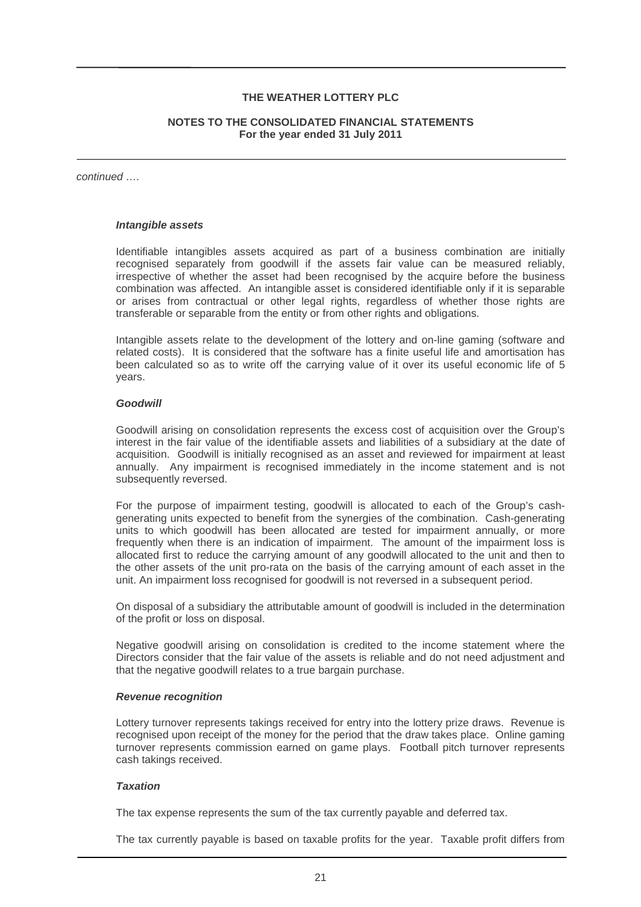#### **NOTES TO THE CONSOLIDATED FINANCIAL STATEMENTS For the year ended 31 July 2011**

continued ….

#### **Intangible assets**

Identifiable intangibles assets acquired as part of a business combination are initially recognised separately from goodwill if the assets fair value can be measured reliably, irrespective of whether the asset had been recognised by the acquire before the business combination was affected. An intangible asset is considered identifiable only if it is separable or arises from contractual or other legal rights, regardless of whether those rights are transferable or separable from the entity or from other rights and obligations.

Intangible assets relate to the development of the lottery and on-line gaming (software and related costs). It is considered that the software has a finite useful life and amortisation has been calculated so as to write off the carrying value of it over its useful economic life of 5 years.

#### **Goodwill**

Goodwill arising on consolidation represents the excess cost of acquisition over the Group's interest in the fair value of the identifiable assets and liabilities of a subsidiary at the date of acquisition. Goodwill is initially recognised as an asset and reviewed for impairment at least annually. Any impairment is recognised immediately in the income statement and is not subsequently reversed.

For the purpose of impairment testing, goodwill is allocated to each of the Group's cashgenerating units expected to benefit from the synergies of the combination. Cash-generating units to which goodwill has been allocated are tested for impairment annually, or more frequently when there is an indication of impairment. The amount of the impairment loss is allocated first to reduce the carrying amount of any goodwill allocated to the unit and then to the other assets of the unit pro-rata on the basis of the carrying amount of each asset in the unit. An impairment loss recognised for goodwill is not reversed in a subsequent period.

On disposal of a subsidiary the attributable amount of goodwill is included in the determination of the profit or loss on disposal.

Negative goodwill arising on consolidation is credited to the income statement where the Directors consider that the fair value of the assets is reliable and do not need adjustment and that the negative goodwill relates to a true bargain purchase.

#### **Revenue recognition**

Lottery turnover represents takings received for entry into the lottery prize draws. Revenue is recognised upon receipt of the money for the period that the draw takes place. Online gaming turnover represents commission earned on game plays. Football pitch turnover represents cash takings received.

#### **Taxation**

The tax expense represents the sum of the tax currently payable and deferred tax.

The tax currently payable is based on taxable profits for the year. Taxable profit differs from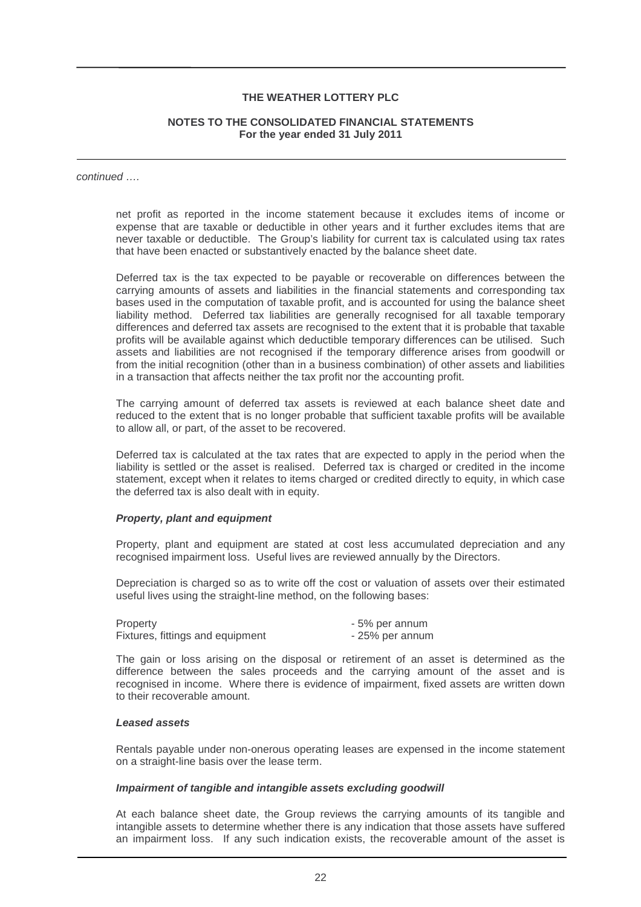#### **NOTES TO THE CONSOLIDATED FINANCIAL STATEMENTS For the year ended 31 July 2011**

continued ….

net profit as reported in the income statement because it excludes items of income or expense that are taxable or deductible in other years and it further excludes items that are never taxable or deductible. The Group's liability for current tax is calculated using tax rates that have been enacted or substantively enacted by the balance sheet date.

Deferred tax is the tax expected to be payable or recoverable on differences between the carrying amounts of assets and liabilities in the financial statements and corresponding tax bases used in the computation of taxable profit, and is accounted for using the balance sheet liability method. Deferred tax liabilities are generally recognised for all taxable temporary differences and deferred tax assets are recognised to the extent that it is probable that taxable profits will be available against which deductible temporary differences can be utilised. Such assets and liabilities are not recognised if the temporary difference arises from goodwill or from the initial recognition (other than in a business combination) of other assets and liabilities in a transaction that affects neither the tax profit nor the accounting profit.

The carrying amount of deferred tax assets is reviewed at each balance sheet date and reduced to the extent that is no longer probable that sufficient taxable profits will be available to allow all, or part, of the asset to be recovered.

Deferred tax is calculated at the tax rates that are expected to apply in the period when the liability is settled or the asset is realised. Deferred tax is charged or credited in the income statement, except when it relates to items charged or credited directly to equity, in which case the deferred tax is also dealt with in equity.

#### **Property, plant and equipment**

Property, plant and equipment are stated at cost less accumulated depreciation and any recognised impairment loss. Useful lives are reviewed annually by the Directors.

Depreciation is charged so as to write off the cost or valuation of assets over their estimated useful lives using the straight-line method, on the following bases:

| Property                         | - 5% per annum  |
|----------------------------------|-----------------|
| Fixtures, fittings and equipment | - 25% per annum |

The gain or loss arising on the disposal or retirement of an asset is determined as the difference between the sales proceeds and the carrying amount of the asset and is recognised in income. Where there is evidence of impairment, fixed assets are written down to their recoverable amount.

#### **Leased assets**

Rentals payable under non-onerous operating leases are expensed in the income statement on a straight-line basis over the lease term.

#### **Impairment of tangible and intangible assets excluding goodwill**

At each balance sheet date, the Group reviews the carrying amounts of its tangible and intangible assets to determine whether there is any indication that those assets have suffered an impairment loss. If any such indication exists, the recoverable amount of the asset is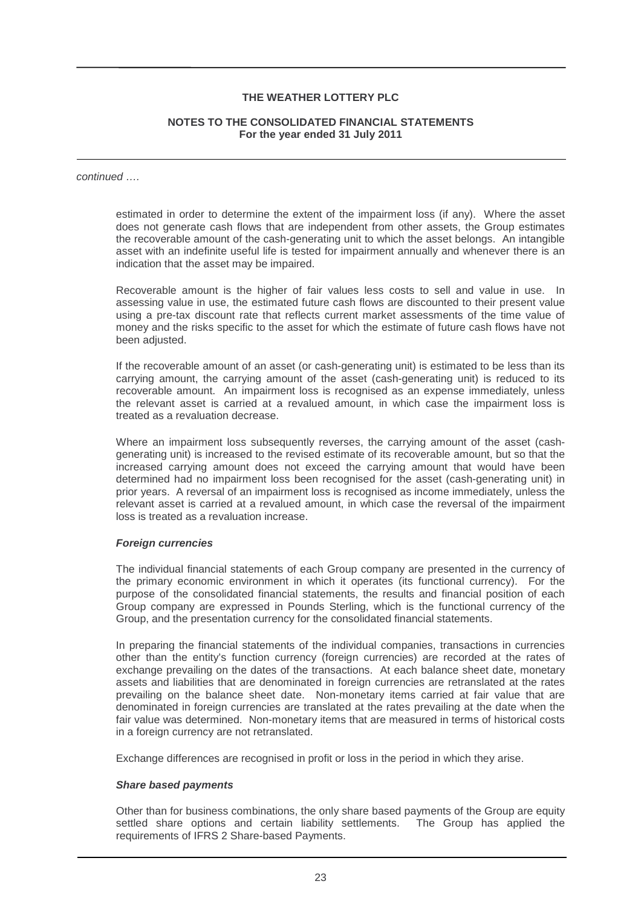#### **NOTES TO THE CONSOLIDATED FINANCIAL STATEMENTS For the year ended 31 July 2011**

continued ….

estimated in order to determine the extent of the impairment loss (if any). Where the asset does not generate cash flows that are independent from other assets, the Group estimates the recoverable amount of the cash-generating unit to which the asset belongs. An intangible asset with an indefinite useful life is tested for impairment annually and whenever there is an indication that the asset may be impaired.

Recoverable amount is the higher of fair values less costs to sell and value in use. In assessing value in use, the estimated future cash flows are discounted to their present value using a pre-tax discount rate that reflects current market assessments of the time value of money and the risks specific to the asset for which the estimate of future cash flows have not been adjusted.

If the recoverable amount of an asset (or cash-generating unit) is estimated to be less than its carrying amount, the carrying amount of the asset (cash-generating unit) is reduced to its recoverable amount. An impairment loss is recognised as an expense immediately, unless the relevant asset is carried at a revalued amount, in which case the impairment loss is treated as a revaluation decrease.

Where an impairment loss subsequently reverses, the carrying amount of the asset (cashgenerating unit) is increased to the revised estimate of its recoverable amount, but so that the increased carrying amount does not exceed the carrying amount that would have been determined had no impairment loss been recognised for the asset (cash-generating unit) in prior years. A reversal of an impairment loss is recognised as income immediately, unless the relevant asset is carried at a revalued amount, in which case the reversal of the impairment loss is treated as a revaluation increase.

#### **Foreign currencies**

The individual financial statements of each Group company are presented in the currency of the primary economic environment in which it operates (its functional currency). For the purpose of the consolidated financial statements, the results and financial position of each Group company are expressed in Pounds Sterling, which is the functional currency of the Group, and the presentation currency for the consolidated financial statements.

In preparing the financial statements of the individual companies, transactions in currencies other than the entity's function currency (foreign currencies) are recorded at the rates of exchange prevailing on the dates of the transactions. At each balance sheet date, monetary assets and liabilities that are denominated in foreign currencies are retranslated at the rates prevailing on the balance sheet date. Non-monetary items carried at fair value that are denominated in foreign currencies are translated at the rates prevailing at the date when the fair value was determined. Non-monetary items that are measured in terms of historical costs in a foreign currency are not retranslated.

Exchange differences are recognised in profit or loss in the period in which they arise.

#### **Share based payments**

Other than for business combinations, the only share based payments of the Group are equity settled share options and certain liability settlements. The Group has applied the requirements of IFRS 2 Share-based Payments.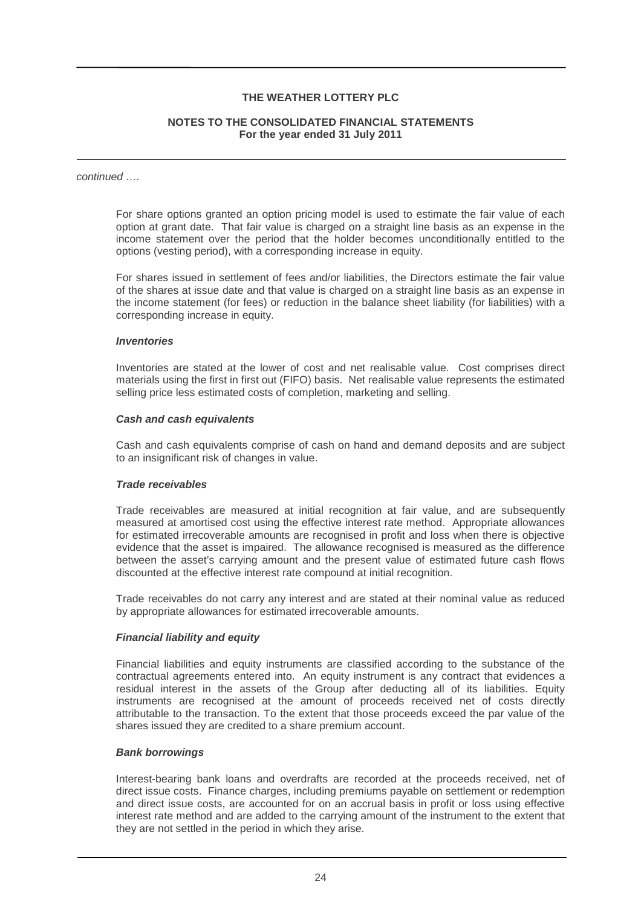#### **NOTES TO THE CONSOLIDATED FINANCIAL STATEMENTS For the year ended 31 July 2011**

#### continued ….

For share options granted an option pricing model is used to estimate the fair value of each option at grant date. That fair value is charged on a straight line basis as an expense in the income statement over the period that the holder becomes unconditionally entitled to the options (vesting period), with a corresponding increase in equity.

For shares issued in settlement of fees and/or liabilities, the Directors estimate the fair value of the shares at issue date and that value is charged on a straight line basis as an expense in the income statement (for fees) or reduction in the balance sheet liability (for liabilities) with a corresponding increase in equity.

#### **Inventories**

Inventories are stated at the lower of cost and net realisable value. Cost comprises direct materials using the first in first out (FIFO) basis. Net realisable value represents the estimated selling price less estimated costs of completion, marketing and selling.

#### **Cash and cash equivalents**

Cash and cash equivalents comprise of cash on hand and demand deposits and are subject to an insignificant risk of changes in value.

#### **Trade receivables**

Trade receivables are measured at initial recognition at fair value, and are subsequently measured at amortised cost using the effective interest rate method. Appropriate allowances for estimated irrecoverable amounts are recognised in profit and loss when there is objective evidence that the asset is impaired. The allowance recognised is measured as the difference between the asset's carrying amount and the present value of estimated future cash flows discounted at the effective interest rate compound at initial recognition.

Trade receivables do not carry any interest and are stated at their nominal value as reduced by appropriate allowances for estimated irrecoverable amounts.

#### **Financial liability and equity**

Financial liabilities and equity instruments are classified according to the substance of the contractual agreements entered into. An equity instrument is any contract that evidences a residual interest in the assets of the Group after deducting all of its liabilities. Equity instruments are recognised at the amount of proceeds received net of costs directly attributable to the transaction. To the extent that those proceeds exceed the par value of the shares issued they are credited to a share premium account.

#### **Bank borrowings**

Interest-bearing bank loans and overdrafts are recorded at the proceeds received, net of direct issue costs. Finance charges, including premiums payable on settlement or redemption and direct issue costs, are accounted for on an accrual basis in profit or loss using effective interest rate method and are added to the carrying amount of the instrument to the extent that they are not settled in the period in which they arise.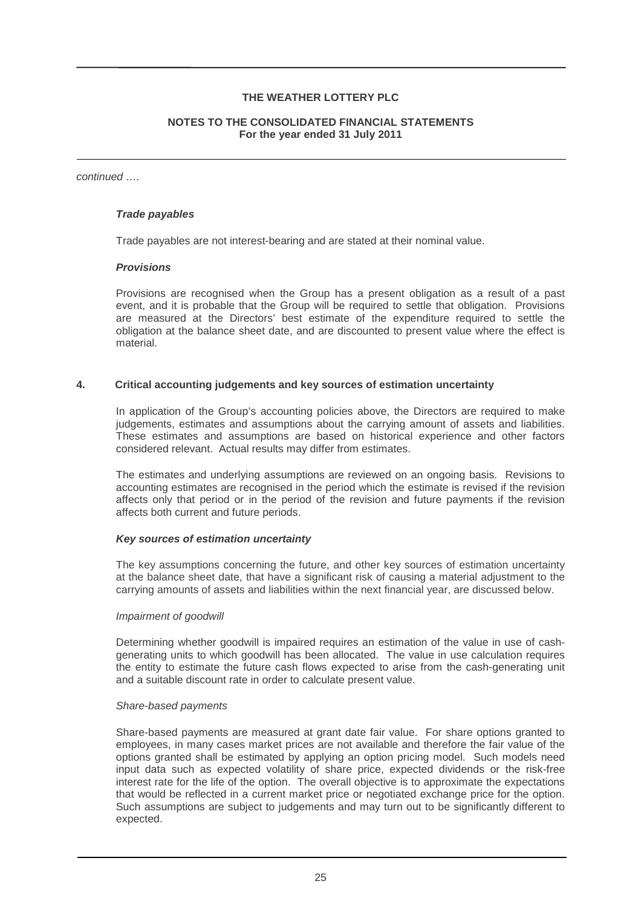#### **NOTES TO THE CONSOLIDATED FINANCIAL STATEMENTS For the year ended 31 July 2011**

continued ….

#### **Trade payables**

Trade payables are not interest-bearing and are stated at their nominal value.

#### **Provisions**

Provisions are recognised when the Group has a present obligation as a result of a past event, and it is probable that the Group will be required to settle that obligation. Provisions are measured at the Directors' best estimate of the expenditure required to settle the obligation at the balance sheet date, and are discounted to present value where the effect is material.

#### **4. Critical accounting judgements and key sources of estimation uncertainty**

In application of the Group's accounting policies above, the Directors are required to make judgements, estimates and assumptions about the carrying amount of assets and liabilities. These estimates and assumptions are based on historical experience and other factors considered relevant. Actual results may differ from estimates.

The estimates and underlying assumptions are reviewed on an ongoing basis. Revisions to accounting estimates are recognised in the period which the estimate is revised if the revision affects only that period or in the period of the revision and future payments if the revision affects both current and future periods.

#### **Key sources of estimation uncertainty**

The key assumptions concerning the future, and other key sources of estimation uncertainty at the balance sheet date, that have a significant risk of causing a material adjustment to the carrying amounts of assets and liabilities within the next financial year, are discussed below.

#### Impairment of goodwill

Determining whether goodwill is impaired requires an estimation of the value in use of cashgenerating units to which goodwill has been allocated. The value in use calculation requires the entity to estimate the future cash flows expected to arise from the cash-generating unit and a suitable discount rate in order to calculate present value.

#### Share-based payments

Share-based payments are measured at grant date fair value. For share options granted to employees, in many cases market prices are not available and therefore the fair value of the options granted shall be estimated by applying an option pricing model. Such models need input data such as expected volatility of share price, expected dividends or the risk-free interest rate for the life of the option. The overall objective is to approximate the expectations that would be reflected in a current market price or negotiated exchange price for the option. Such assumptions are subject to judgements and may turn out to be significantly different to expected.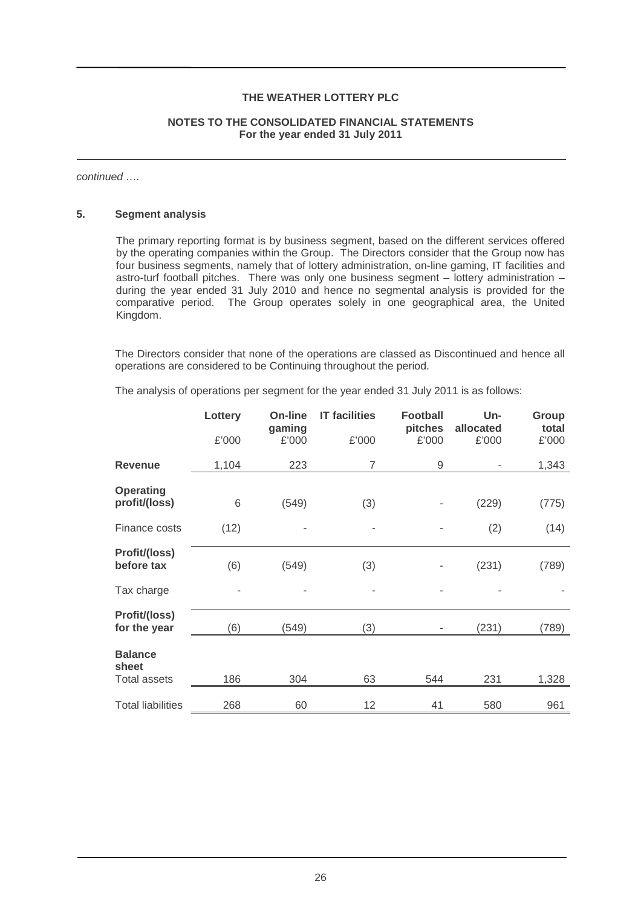#### **NOTES TO THE CONSOLIDATED FINANCIAL STATEMENTS For the year ended 31 July 2011**

continued ….

#### **5. Segment analysis**

The primary reporting format is by business segment, based on the different services offered by the operating companies within the Group. The Directors consider that the Group now has four business segments, namely that of lottery administration, on-line gaming, IT facilities and astro-turf football pitches. There was only one business segment – lottery administration – during the year ended 31 July 2010 and hence no segmental analysis is provided for the comparative period. The Group operates solely in one geographical area, the United Kingdom.

The Directors consider that none of the operations are classed as Discontinued and hence all operations are considered to be Continuing throughout the period.

The analysis of operations per segment for the year ended 31 July 2011 is as follows:

|                                   | Lottery | <b>On-line</b><br>gaming | <b>IT facilities</b> | <b>Football</b><br>pitches | Un-<br>allocated | Group<br>total |
|-----------------------------------|---------|--------------------------|----------------------|----------------------------|------------------|----------------|
|                                   | £'000   | £'000                    | £'000                | £'000                      | £'000            | £'000          |
| <b>Revenue</b>                    | 1,104   | 223                      | 7                    | 9                          | ۰                | 1,343          |
| <b>Operating</b><br>profit/(loss) | 6       | (549)                    | (3)                  |                            | (229)            | (775)          |
| Finance costs                     | (12)    | ۰                        | ٠                    |                            | (2)              | (14)           |
| Profit/(loss)<br>before tax       | (6)     | (549)                    | (3)                  |                            | (231)            | (789)          |
| Tax charge                        |         |                          |                      |                            |                  |                |
| Profit/(loss)<br>for the year     | (6)     | (549)                    | (3)                  |                            | (231)            | (789)          |
| <b>Balance</b><br>sheet           |         |                          |                      |                            |                  |                |
| <b>Total assets</b>               | 186     | 304                      | 63                   | 544                        | 231              | 1,328          |
| <b>Total liabilities</b>          | 268     | 60                       | 12                   | 41                         | 580              | 961            |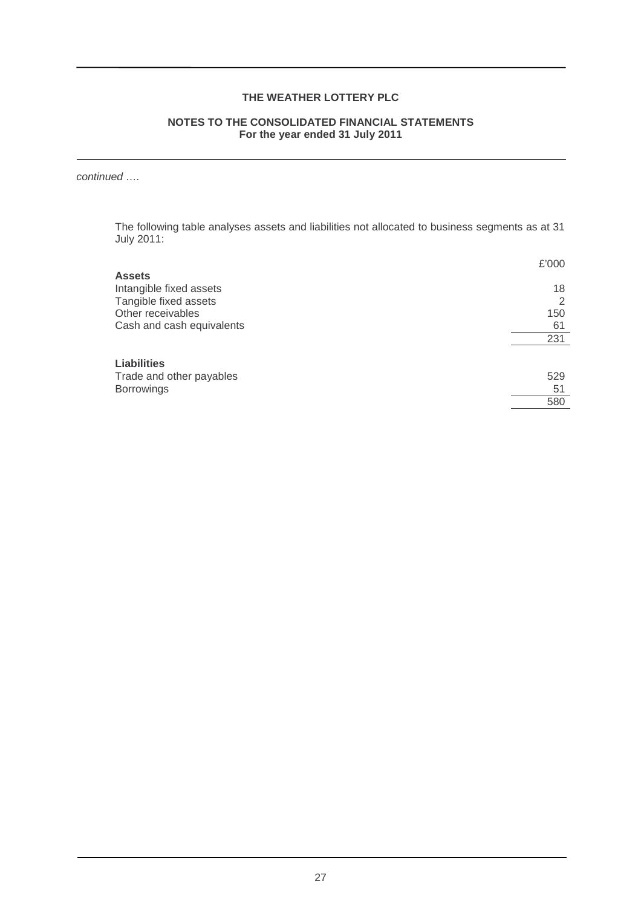#### **NOTES TO THE CONSOLIDATED FINANCIAL STATEMENTS For the year ended 31 July 2011**

# continued ….

The following table analyses assets and liabilities not allocated to business segments as at 31 July 2011:

|                           | £'000 |
|---------------------------|-------|
| <b>Assets</b>             |       |
| Intangible fixed assets   | 18    |
| Tangible fixed assets     | っ     |
| Other receivables         | 150   |
| Cash and cash equivalents | 61    |
|                           | 231   |
|                           |       |
| <b>Liabilities</b>        |       |
| Trade and other payables  | 529   |
| <b>Borrowings</b>         | 51    |
|                           | 580   |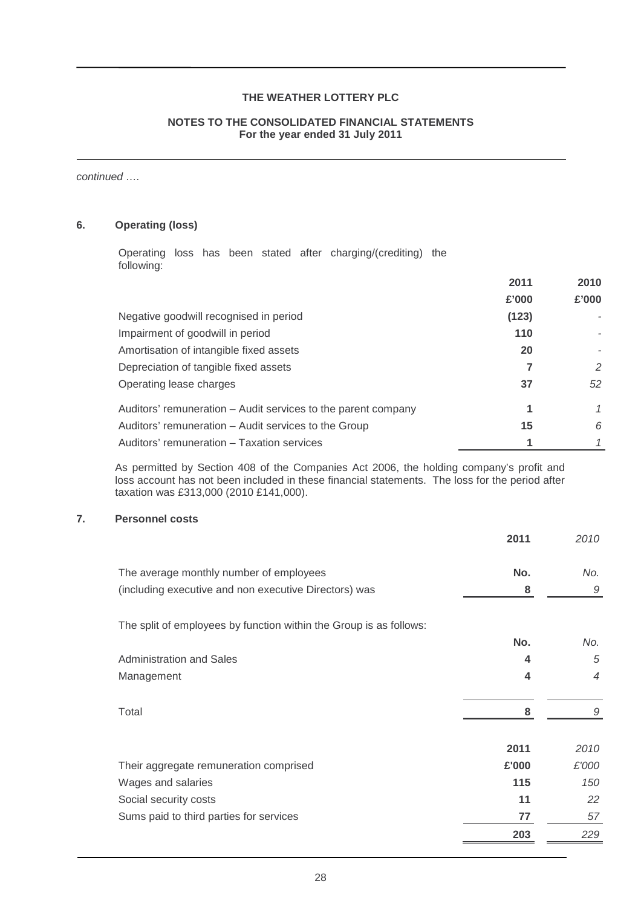#### **NOTES TO THE CONSOLIDATED FINANCIAL STATEMENTS For the year ended 31 July 2011**

continued ….

# **6. Operating (loss)**

Operating loss has been stated after charging/(crediting) the following:

|                                                               | 2011  | 2010  |
|---------------------------------------------------------------|-------|-------|
|                                                               | £'000 | £'000 |
| Negative goodwill recognised in period                        | (123) |       |
| Impairment of goodwill in period                              | 110   |       |
| Amortisation of intangible fixed assets                       | 20    |       |
| Depreciation of tangible fixed assets                         |       | 2     |
| Operating lease charges                                       | 37    | 52    |
| Auditors' remuneration – Audit services to the parent company |       | 1     |
| Auditors' remuneration – Audit services to the Group          | 15    | 6     |
| Auditors' remuneration - Taxation services                    |       | 1     |

As permitted by Section 408 of the Companies Act 2006, the holding company's profit and loss account has not been included in these financial statements. The loss for the period after taxation was £313,000 (2010 £141,000).

# **7. Personnel costs**

|                                                                    | 2011                    | 2010           |
|--------------------------------------------------------------------|-------------------------|----------------|
| The average monthly number of employees                            | No.                     | No.            |
| (including executive and non executive Directors) was              | 8                       | $\cal{G}$      |
| The split of employees by function within the Group is as follows: |                         |                |
|                                                                    | No.                     | No.            |
| <b>Administration and Sales</b>                                    | 4                       | 5              |
| Management                                                         | $\overline{\mathbf{4}}$ | $\overline{4}$ |
| Total                                                              | 8                       | 9              |
|                                                                    | 2011                    | 2010           |
| Their aggregate remuneration comprised                             | £'000                   | £'000          |
| Wages and salaries                                                 | 115                     | 150            |
| Social security costs                                              | 11                      | 22             |
| Sums paid to third parties for services                            | 77                      | 57             |
|                                                                    | 203                     | 229            |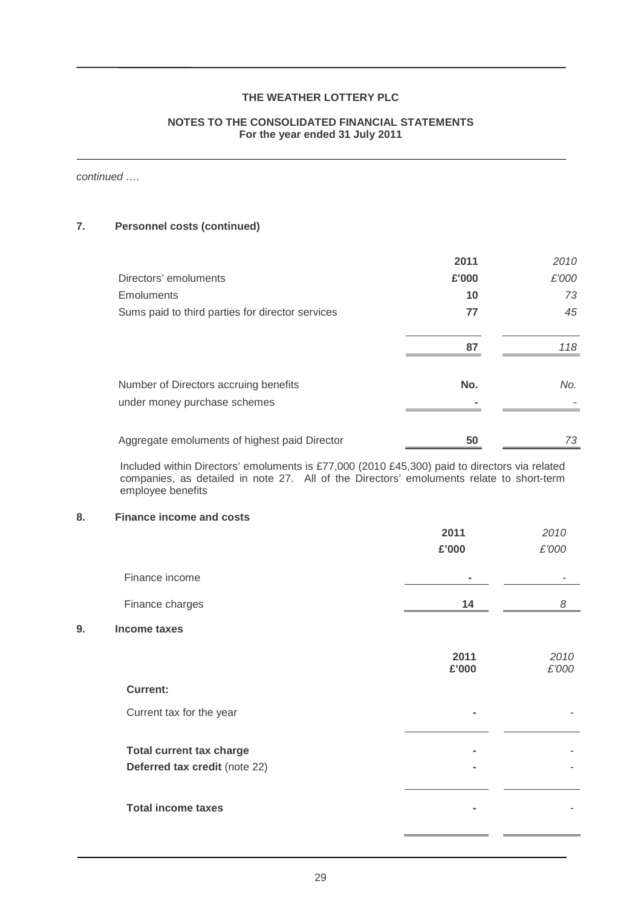#### **NOTES TO THE CONSOLIDATED FINANCIAL STATEMENTS For the year ended 31 July 2011**

continued ….

# **7. Personnel costs (continued)**

|                                                  | 2011  | 2010  |
|--------------------------------------------------|-------|-------|
| Directors' emoluments                            | £'000 | £'000 |
| Emoluments                                       | 10    | 73    |
| Sums paid to third parties for director services | 77    | 45    |
|                                                  |       |       |
|                                                  | 87    | 118   |
|                                                  |       |       |
| Number of Directors accruing benefits            | No.   | No.   |
| under money purchase schemes                     |       |       |
|                                                  |       |       |
| Aggregate emoluments of highest paid Director    | 50    | 73    |

Included within Directors' emoluments is £77,000 (2010 £45,300) paid to directors via related companies, as detailed in note 27. All of the Directors' emoluments relate to short-term employee benefits

# **8. Finance income and costs**

|    |                                 | 2011          | 2010          |
|----|---------------------------------|---------------|---------------|
|    |                                 | £'000         | £'000         |
|    | Finance income                  |               |               |
|    | Finance charges                 | 14            | 8             |
| 9. | <b>Income taxes</b>             |               |               |
|    |                                 | 2011<br>£'000 | 2010<br>£'000 |
|    | <b>Current:</b>                 |               |               |
|    | Current tax for the year        |               |               |
|    | <b>Total current tax charge</b> |               |               |
|    | Deferred tax credit (note 22)   |               |               |
|    | <b>Total income taxes</b>       |               |               |
|    |                                 |               |               |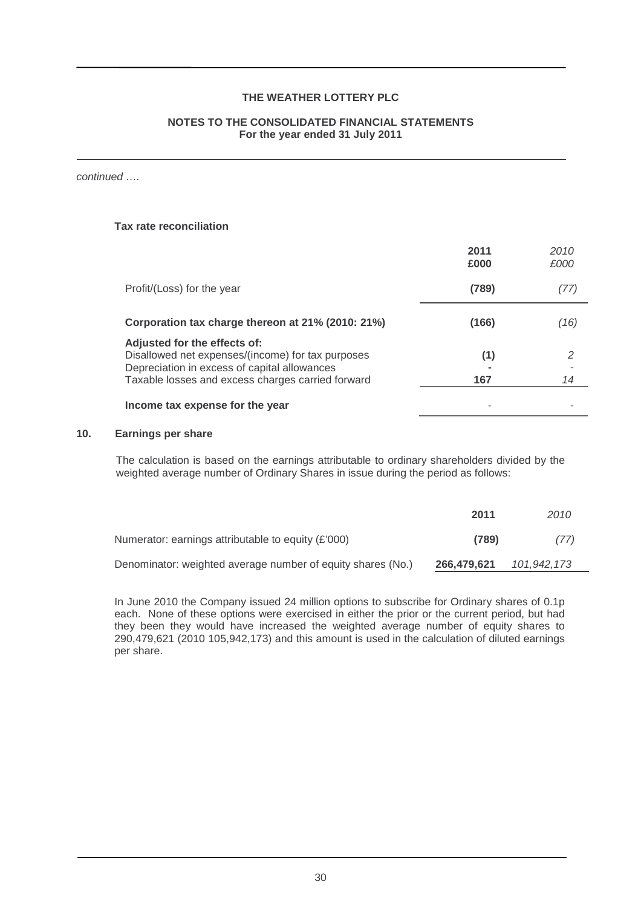#### **NOTES TO THE CONSOLIDATED FINANCIAL STATEMENTS For the year ended 31 July 2011**

continued ….

#### **Tax rate reconciliation**

|                                                                                                                                                                                        | 2011<br>£000 | 2010<br>£000  |
|----------------------------------------------------------------------------------------------------------------------------------------------------------------------------------------|--------------|---------------|
| Profit/(Loss) for the year                                                                                                                                                             | (789)        | $\frac{1}{2}$ |
| Corporation tax charge thereon at 21% (2010: 21%)                                                                                                                                      | (166)        | (16)          |
| Adjusted for the effects of:<br>Disallowed net expenses/(income) for tax purposes<br>Depreciation in excess of capital allowances<br>Taxable losses and excess charges carried forward | (1)<br>167   | 2<br>14       |
| Income tax expense for the year                                                                                                                                                        |              |               |

# **10. Earnings per share**

The calculation is based on the earnings attributable to ordinary shareholders divided by the weighted average number of Ordinary Shares in issue during the period as follows:

|                                                             | 2011        | 2010        |
|-------------------------------------------------------------|-------------|-------------|
| Numerator: earnings attributable to equity $(E'000)$        | (789)       | (77)        |
| Denominator: weighted average number of equity shares (No.) | 266,479,621 | 101,942,173 |

In June 2010 the Company issued 24 million options to subscribe for Ordinary shares of 0.1p each. None of these options were exercised in either the prior or the current period, but had they been they would have increased the weighted average number of equity shares to 290,479,621 (2010 105,942,173) and this amount is used in the calculation of diluted earnings per share.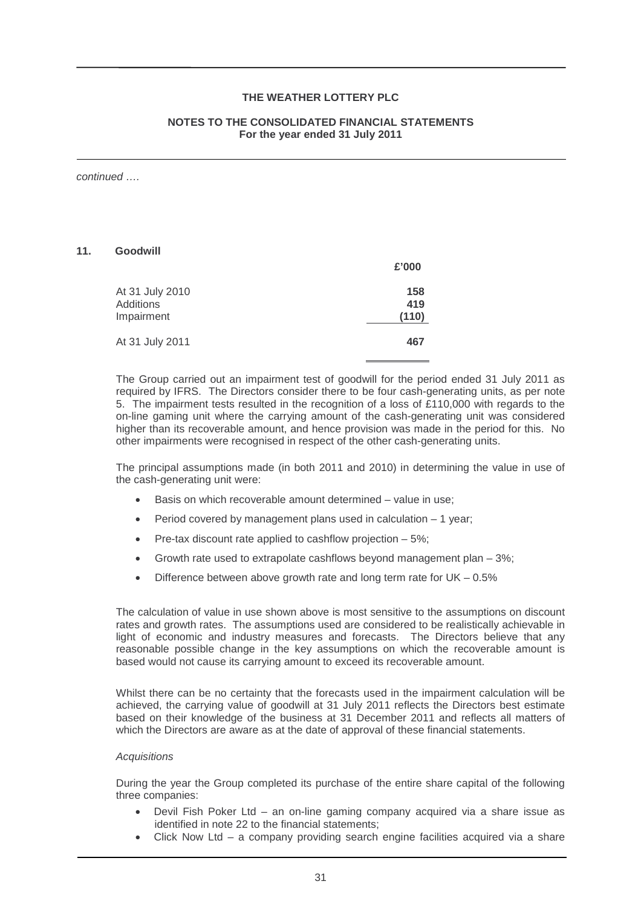#### **NOTES TO THE CONSOLIDATED FINANCIAL STATEMENTS For the year ended 31 July 2011**

continued ….

#### **11. Goodwill**

| 158   |
|-------|
| 419   |
| (110) |
| 467   |
|       |

The Group carried out an impairment test of goodwill for the period ended 31 July 2011 as required by IFRS. The Directors consider there to be four cash-generating units, as per note 5. The impairment tests resulted in the recognition of a loss of £110,000 with regards to the on-line gaming unit where the carrying amount of the cash-generating unit was considered higher than its recoverable amount, and hence provision was made in the period for this. No other impairments were recognised in respect of the other cash-generating units.

**£'000** 

The principal assumptions made (in both 2011 and 2010) in determining the value in use of the cash-generating unit were:

- Basis on which recoverable amount determined value in use;
- Period covered by management plans used in calculation 1 year;
- Pre-tax discount rate applied to cashflow projection  $-5\%$ ;
- Growth rate used to extrapolate cashflows beyond management plan 3%;
- Difference between above growth rate and long term rate for UK 0.5%

The calculation of value in use shown above is most sensitive to the assumptions on discount rates and growth rates. The assumptions used are considered to be realistically achievable in light of economic and industry measures and forecasts. The Directors believe that any reasonable possible change in the key assumptions on which the recoverable amount is based would not cause its carrying amount to exceed its recoverable amount.

Whilst there can be no certainty that the forecasts used in the impairment calculation will be achieved, the carrying value of goodwill at 31 July 2011 reflects the Directors best estimate based on their knowledge of the business at 31 December 2011 and reflects all matters of which the Directors are aware as at the date of approval of these financial statements.

#### **Acquisitions**

During the year the Group completed its purchase of the entire share capital of the following three companies:

- Devil Fish Poker Ltd an on-line gaming company acquired via a share issue as identified in note 22 to the financial statements;
- Click Now Ltd a company providing search engine facilities acquired via a share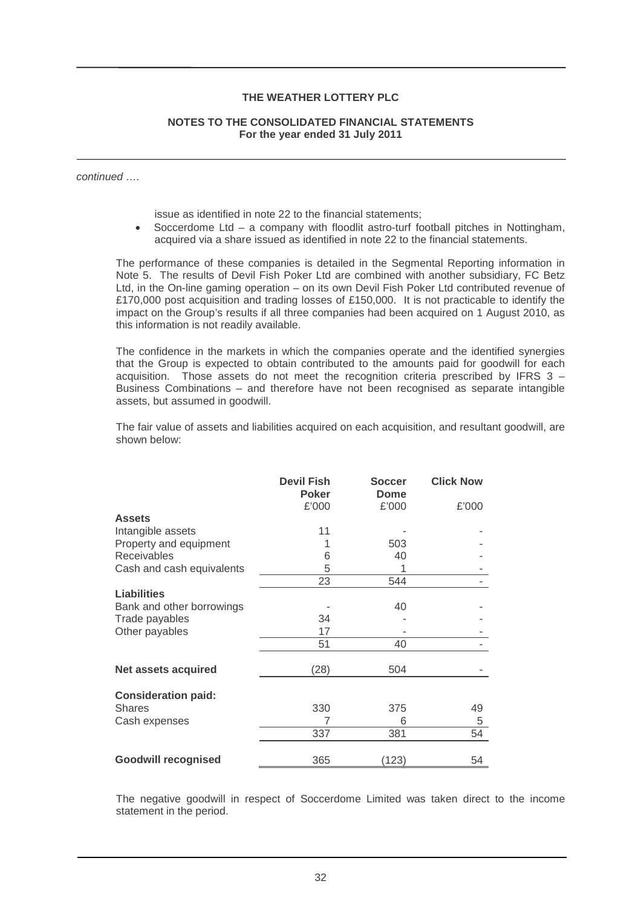#### **NOTES TO THE CONSOLIDATED FINANCIAL STATEMENTS For the year ended 31 July 2011**

continued ….

issue as identified in note 22 to the financial statements;

• Soccerdome Ltd – a company with floodlit astro-turf football pitches in Nottingham, acquired via a share issued as identified in note 22 to the financial statements.

The performance of these companies is detailed in the Segmental Reporting information in Note 5. The results of Devil Fish Poker Ltd are combined with another subsidiary, FC Betz Ltd, in the On-line gaming operation – on its own Devil Fish Poker Ltd contributed revenue of £170,000 post acquisition and trading losses of £150,000. It is not practicable to identify the impact on the Group's results if all three companies had been acquired on 1 August 2010, as this information is not readily available.

The confidence in the markets in which the companies operate and the identified synergies that the Group is expected to obtain contributed to the amounts paid for goodwill for each acquisition. Those assets do not meet the recognition criteria prescribed by IFRS 3 – Business Combinations – and therefore have not been recognised as separate intangible assets, but assumed in goodwill.

The fair value of assets and liabilities acquired on each acquisition, and resultant goodwill, are shown below:

|                            | <b>Devil Fish</b><br><b>Poker</b> | <b>Soccer</b><br><b>Dome</b> | <b>Click Now</b> |
|----------------------------|-----------------------------------|------------------------------|------------------|
|                            | £'000                             | £'000                        | £'000            |
| <b>Assets</b>              |                                   |                              |                  |
| Intangible assets          | 11                                |                              |                  |
| Property and equipment     |                                   | 503                          |                  |
| <b>Receivables</b>         | 6                                 | 40                           |                  |
| Cash and cash equivalents  | 5                                 |                              |                  |
|                            | 23                                | 544                          |                  |
| <b>Liabilities</b>         |                                   |                              |                  |
| Bank and other borrowings  |                                   | 40                           |                  |
| Trade payables             | 34                                |                              |                  |
| Other payables             | 17                                |                              |                  |
|                            | 51                                | 40                           |                  |
|                            |                                   |                              |                  |
| <b>Net assets acquired</b> | (28)                              | 504                          |                  |
| <b>Consideration paid:</b> |                                   |                              |                  |
| <b>Shares</b>              | 330                               | 375                          | 49               |
| Cash expenses              | 7                                 | 6                            | 5                |
|                            | 337                               | 381                          | $\overline{54}$  |
|                            |                                   |                              |                  |
| <b>Goodwill recognised</b> | 365                               | (123)                        | 54               |

The negative goodwill in respect of Soccerdome Limited was taken direct to the income statement in the period.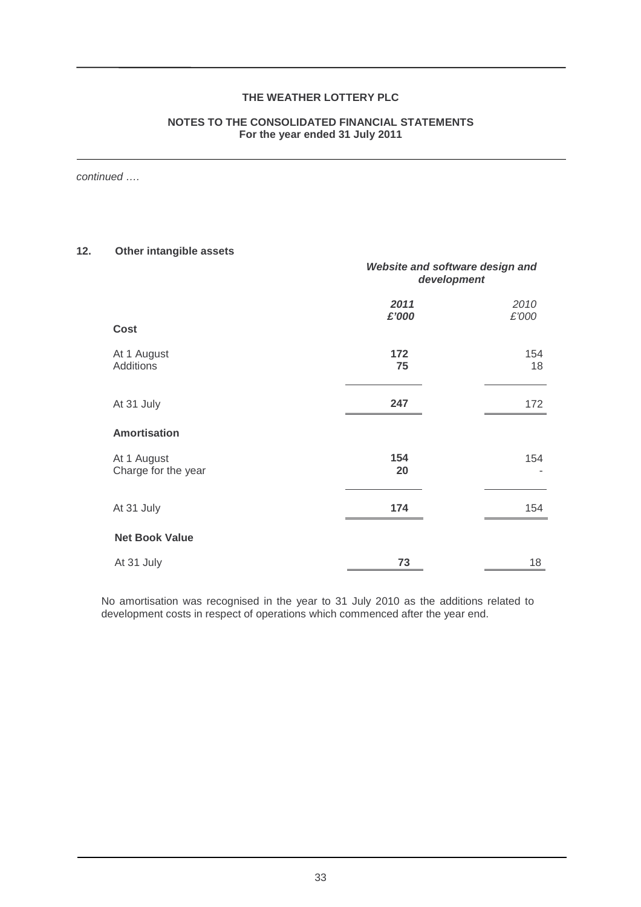#### **NOTES TO THE CONSOLIDATED FINANCIAL STATEMENTS For the year ended 31 July 2011**

continued ….

#### **12. Other intangible assets**

|                                    |               | Website and software design and<br>development |  |
|------------------------------------|---------------|------------------------------------------------|--|
|                                    | 2011<br>£'000 | 2010<br>£'000                                  |  |
| <b>Cost</b>                        |               |                                                |  |
| At 1 August<br>Additions           | 172<br>75     | 154<br>18                                      |  |
| At 31 July                         | 247           | 172                                            |  |
| <b>Amortisation</b>                |               |                                                |  |
| At 1 August<br>Charge for the year | 154<br>20     | 154                                            |  |
| At 31 July                         | 174           | 154                                            |  |
| <b>Net Book Value</b>              |               |                                                |  |
| At 31 July                         | 73            | 18                                             |  |

No amortisation was recognised in the year to 31 July 2010 as the additions related to development costs in respect of operations which commenced after the year end.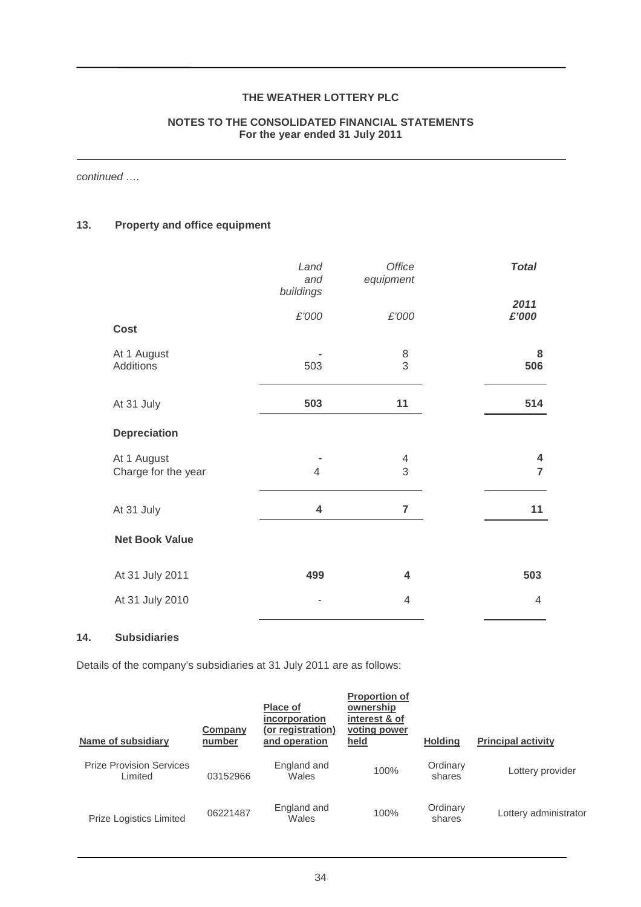#### **NOTES TO THE CONSOLIDATED FINANCIAL STATEMENTS For the year ended 31 July 2011**

continued ….

# **13. Property and office equipment**

|                                    | Land<br>and<br>buildings | Office<br>equipment                   | <b>Total</b>        |
|------------------------------------|--------------------------|---------------------------------------|---------------------|
| <b>Cost</b>                        | £'000                    | £'000                                 | 2011<br>£'000       |
| At 1 August<br>Additions           | 503                      | $\begin{array}{c} 8 \\ 3 \end{array}$ | 8<br>506            |
| At 31 July                         | 503                      | 11                                    | 514                 |
| <b>Depreciation</b>                |                          |                                       |                     |
| At 1 August<br>Charge for the year | $\overline{4}$           | 4<br>3                                | 4<br>$\overline{7}$ |
| At 31 July                         | 4                        | $\overline{7}$                        | 11                  |
| <b>Net Book Value</b>              |                          |                                       |                     |
| At 31 July 2011                    | 499                      | 4                                     | 503                 |
| At 31 July 2010                    |                          | 4                                     | 4                   |

# **14. Subsidiaries**

Details of the company's subsidiaries at 31 July 2011 are as follows:

| Name of subsidiary                         | Company<br>number | Place of<br>incorporation<br>(or registration)<br>and operation | <b>Proportion of</b><br>ownership<br>interest & of<br>voting power<br>held | <b>Holding</b>     | <b>Principal activity</b> |
|--------------------------------------------|-------------------|-----------------------------------------------------------------|----------------------------------------------------------------------------|--------------------|---------------------------|
| <b>Prize Provision Services</b><br>Limited | 03152966          | England and<br>Wales                                            | 100%                                                                       | Ordinary<br>shares | Lottery provider          |
| Prize Logistics Limited                    | 06221487          | England and<br>Wales                                            | 100%                                                                       | Ordinary<br>shares | Lottery administrator     |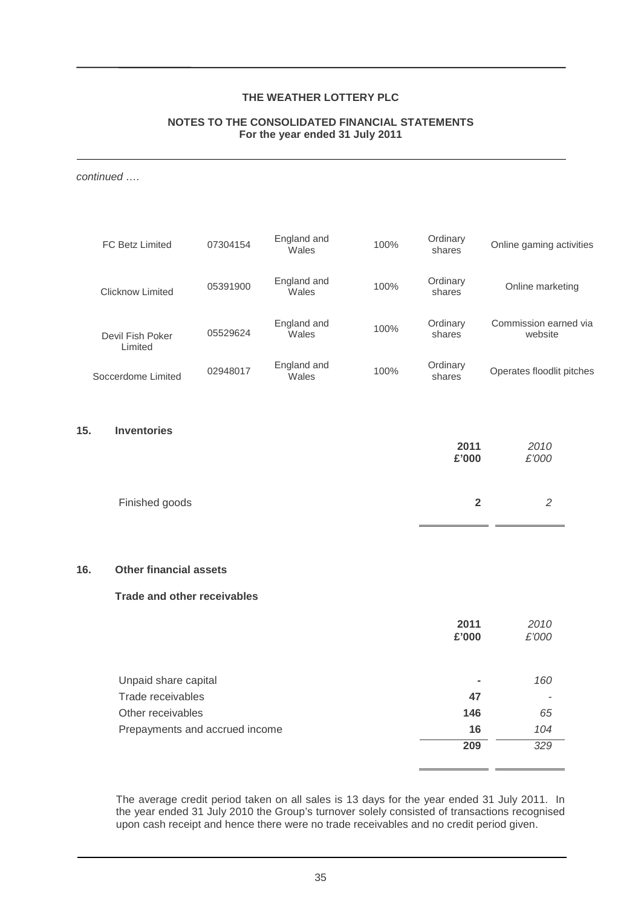#### **NOTES TO THE CONSOLIDATED FINANCIAL STATEMENTS For the year ended 31 July 2011**

continued ….

| <b>FC Betz Limited</b>      | 07304154 | England and<br>Wales | 100% | Ordinary<br>shares | Online gaming activities         |
|-----------------------------|----------|----------------------|------|--------------------|----------------------------------|
| Clicknow Limited            | 05391900 | England and<br>Wales | 100% | Ordinary<br>shares | Online marketing                 |
| Devil Fish Poker<br>Limited | 05529624 | England and<br>Wales | 100% | Ordinary<br>shares | Commission earned via<br>website |
| Soccerdome Limited          | 02948017 | England and<br>Wales | 100% | Ordinary<br>shares | Operates floodlit pitches        |

# **15. Inventories**

|                | 2011<br>£'000 | 2010<br>£'000 |
|----------------|---------------|---------------|
| Finished goods | 2             | っ             |

#### **16. Other financial assets**

# **Trade and other receivables**

|                                | 2011<br>£'000  | 2010<br>£'000 |
|--------------------------------|----------------|---------------|
| Unpaid share capital           | $\blacksquare$ | 160           |
| Trade receivables              | 47             | ٠             |
| Other receivables              | 146            | 65            |
| Prepayments and accrued income | 16             | 104           |
|                                | 209            | 329           |
|                                |                |               |

The average credit period taken on all sales is 13 days for the year ended 31 July 2011. In the year ended 31 July 2010 the Group's turnover solely consisted of transactions recognised upon cash receipt and hence there were no trade receivables and no credit period given.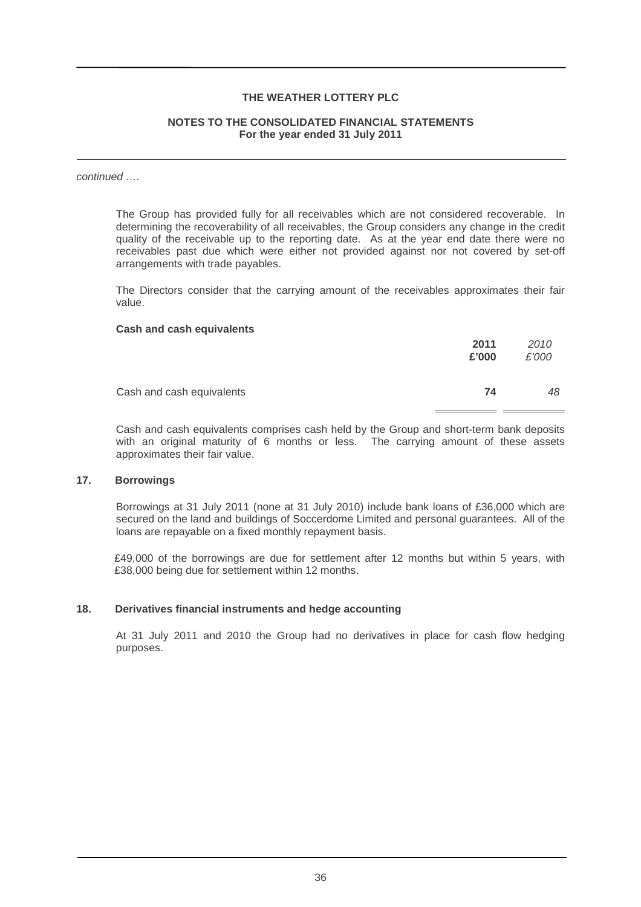#### **NOTES TO THE CONSOLIDATED FINANCIAL STATEMENTS For the year ended 31 July 2011**

#### continued ….

The Group has provided fully for all receivables which are not considered recoverable. In determining the recoverability of all receivables, the Group considers any change in the credit quality of the receivable up to the reporting date. As at the year end date there were no receivables past due which were either not provided against nor not covered by set-off arrangements with trade payables.

The Directors consider that the carrying amount of the receivables approximates their fair value.

#### **Cash and cash equivalents**

|                           | 2011<br>£'000 | 2010<br>£'000 |
|---------------------------|---------------|---------------|
| Cash and cash equivalents | 74            | 48            |

Cash and cash equivalents comprises cash held by the Group and short-term bank deposits with an original maturity of 6 months or less. The carrying amount of these assets approximates their fair value.

#### **17. Borrowings**

Borrowings at 31 July 2011 (none at 31 July 2010) include bank loans of £36,000 which are secured on the land and buildings of Soccerdome Limited and personal guarantees. All of the loans are repayable on a fixed monthly repayment basis.

£49,000 of the borrowings are due for settlement after 12 months but within 5 years, with £38,000 being due for settlement within 12 months.

#### **18. Derivatives financial instruments and hedge accounting**

At 31 July 2011 and 2010 the Group had no derivatives in place for cash flow hedging purposes.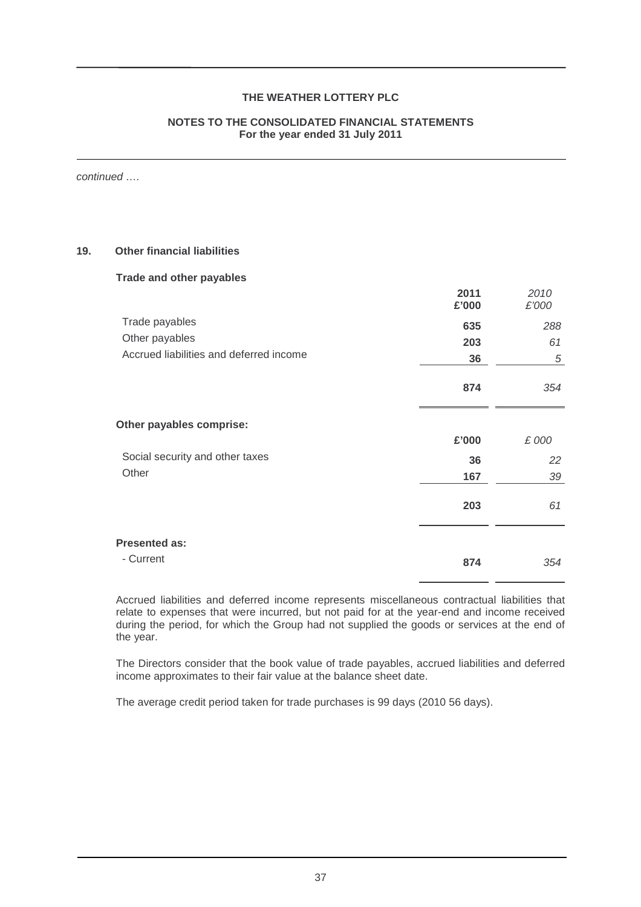#### **NOTES TO THE CONSOLIDATED FINANCIAL STATEMENTS For the year ended 31 July 2011**

continued ….

# **19. Other financial liabilities**

#### **Trade and other payables**

|                                         | 2011<br>£'000 | 2010<br>£'000 |
|-----------------------------------------|---------------|---------------|
| Trade payables                          | 635           | 288           |
| Other payables                          | 203           | 61            |
| Accrued liabilities and deferred income | 36            | 5             |
|                                         | 874           | 354           |
| Other payables comprise:                |               |               |
|                                         | £'000         | £ 000         |
| Social security and other taxes         | 36            | 22            |
| Other                                   | 167           | 39            |
|                                         | 203           | 61            |
| <b>Presented as:</b>                    |               |               |
| - Current                               | 874           | 354           |

Accrued liabilities and deferred income represents miscellaneous contractual liabilities that relate to expenses that were incurred, but not paid for at the year-end and income received during the period, for which the Group had not supplied the goods or services at the end of the year.

The Directors consider that the book value of trade payables, accrued liabilities and deferred income approximates to their fair value at the balance sheet date.

The average credit period taken for trade purchases is 99 days (2010 56 days).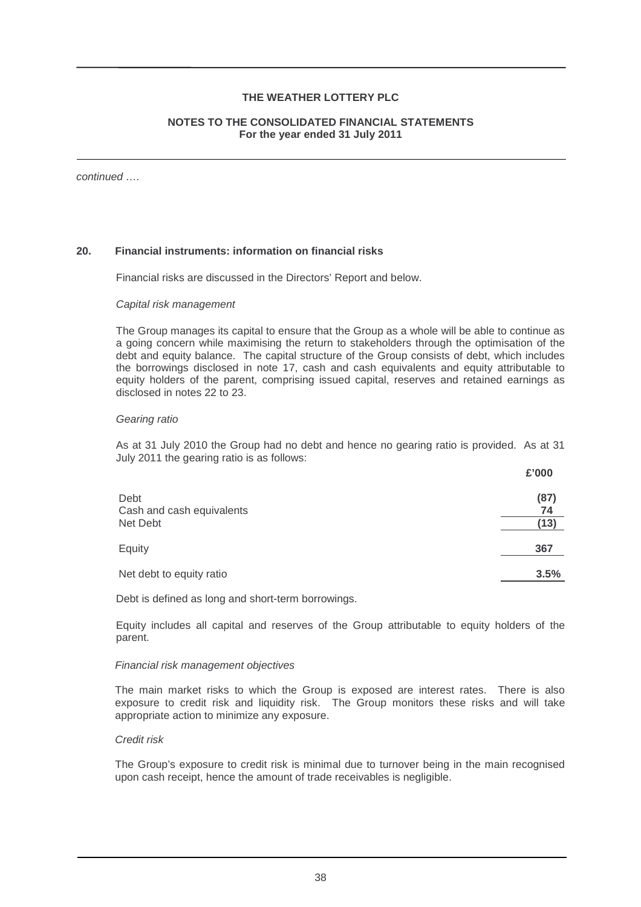#### **NOTES TO THE CONSOLIDATED FINANCIAL STATEMENTS For the year ended 31 July 2011**

continued ….

#### **20. Financial instruments: information on financial risks**

Financial risks are discussed in the Directors' Report and below.

#### Capital risk management

The Group manages its capital to ensure that the Group as a whole will be able to continue as a going concern while maximising the return to stakeholders through the optimisation of the debt and equity balance. The capital structure of the Group consists of debt, which includes the borrowings disclosed in note 17, cash and cash equivalents and equity attributable to equity holders of the parent, comprising issued capital, reserves and retained earnings as disclosed in notes 22 to 23.

#### Gearing ratio

As at 31 July 2010 the Group had no debt and hence no gearing ratio is provided. As at 31 July 2011 the gearing ratio is as follows:

|                                               | £'000              |
|-----------------------------------------------|--------------------|
| Debt<br>Cash and cash equivalents<br>Net Debt | (87)<br>74<br>(13) |
| Equity                                        | 367                |
| Net debt to equity ratio                      | 3.5%               |

Debt is defined as long and short-term borrowings.

Equity includes all capital and reserves of the Group attributable to equity holders of the parent.

#### Financial risk management objectives

The main market risks to which the Group is exposed are interest rates. There is also exposure to credit risk and liquidity risk. The Group monitors these risks and will take appropriate action to minimize any exposure.

#### Credit risk

The Group's exposure to credit risk is minimal due to turnover being in the main recognised upon cash receipt, hence the amount of trade receivables is negligible.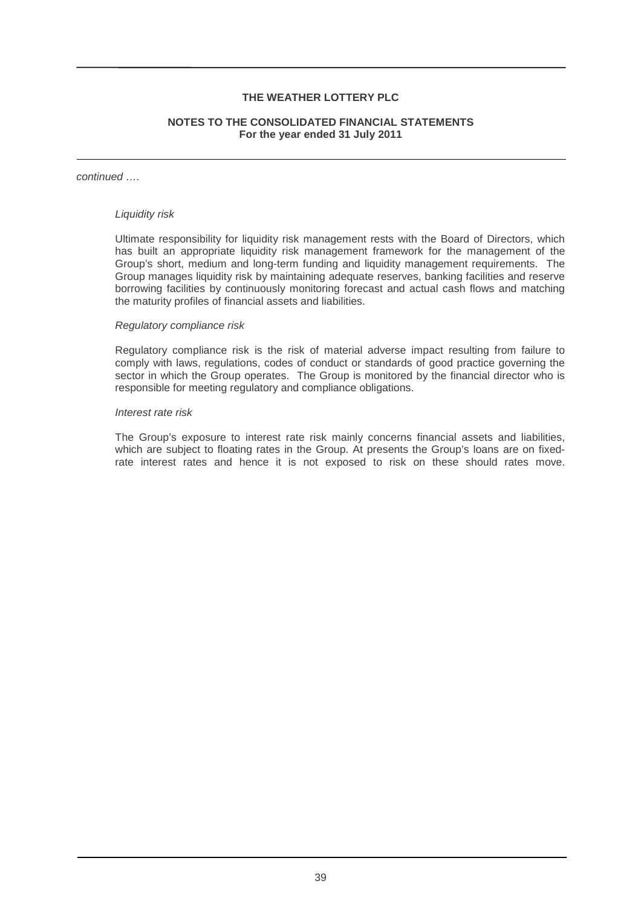#### **NOTES TO THE CONSOLIDATED FINANCIAL STATEMENTS For the year ended 31 July 2011**

#### continued ….

#### Liquidity risk

Ultimate responsibility for liquidity risk management rests with the Board of Directors, which has built an appropriate liquidity risk management framework for the management of the Group's short, medium and long-term funding and liquidity management requirements. The Group manages liquidity risk by maintaining adequate reserves, banking facilities and reserve borrowing facilities by continuously monitoring forecast and actual cash flows and matching the maturity profiles of financial assets and liabilities.

#### Regulatory compliance risk

Regulatory compliance risk is the risk of material adverse impact resulting from failure to comply with laws, regulations, codes of conduct or standards of good practice governing the sector in which the Group operates. The Group is monitored by the financial director who is responsible for meeting regulatory and compliance obligations.

#### Interest rate risk

The Group's exposure to interest rate risk mainly concerns financial assets and liabilities, which are subject to floating rates in the Group. At presents the Group's loans are on fixedrate interest rates and hence it is not exposed to risk on these should rates move.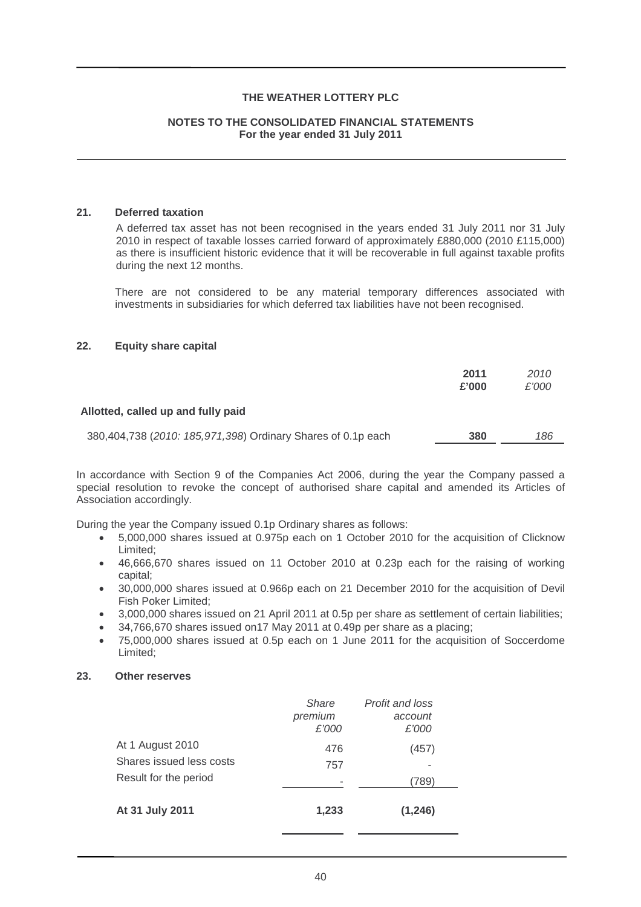#### **NOTES TO THE CONSOLIDATED FINANCIAL STATEMENTS For the year ended 31 July 2011**

# **21. Deferred taxation**

A deferred tax asset has not been recognised in the years ended 31 July 2011 nor 31 July 2010 in respect of taxable losses carried forward of approximately £880,000 (2010 £115,000) as there is insufficient historic evidence that it will be recoverable in full against taxable profits during the next 12 months.

There are not considered to be any material temporary differences associated with investments in subsidiaries for which deferred tax liabilities have not been recognised.

#### **22. Equity share capital**

|                                                              | 2011<br>£'000 | 2010<br>£'000 |
|--------------------------------------------------------------|---------------|---------------|
| Allotted, called up and fully paid                           |               |               |
| 380,404,738 (2010: 185,971,398) Ordinary Shares of 0.1p each | 380           | 186           |

In accordance with Section 9 of the Companies Act 2006, during the year the Company passed a special resolution to revoke the concept of authorised share capital and amended its Articles of Association accordingly.

During the year the Company issued 0.1p Ordinary shares as follows:

- 5,000,000 shares issued at 0.975p each on 1 October 2010 for the acquisition of Clicknow Limited;
- 46,666,670 shares issued on 11 October 2010 at 0.23p each for the raising of working capital;
- 30,000,000 shares issued at 0.966p each on 21 December 2010 for the acquisition of Devil Fish Poker Limited;
- 3,000,000 shares issued on 21 April 2011 at 0.5p per share as settlement of certain liabilities;
- 34,766,670 shares issued on17 May 2011 at 0.49p per share as a placing;
- 75,000,000 shares issued at 0.5p each on 1 June 2011 for the acquisition of Soccerdome Limited;

#### **23. Other reserves**

|                                                                       | Share<br>premium<br>£'000 | Profit and loss<br>account<br>£'000 |
|-----------------------------------------------------------------------|---------------------------|-------------------------------------|
| At 1 August 2010<br>Shares issued less costs<br>Result for the period | 476<br>757                | (457)<br>(789)                      |
| At 31 July 2011                                                       | 1,233                     | (1, 246)                            |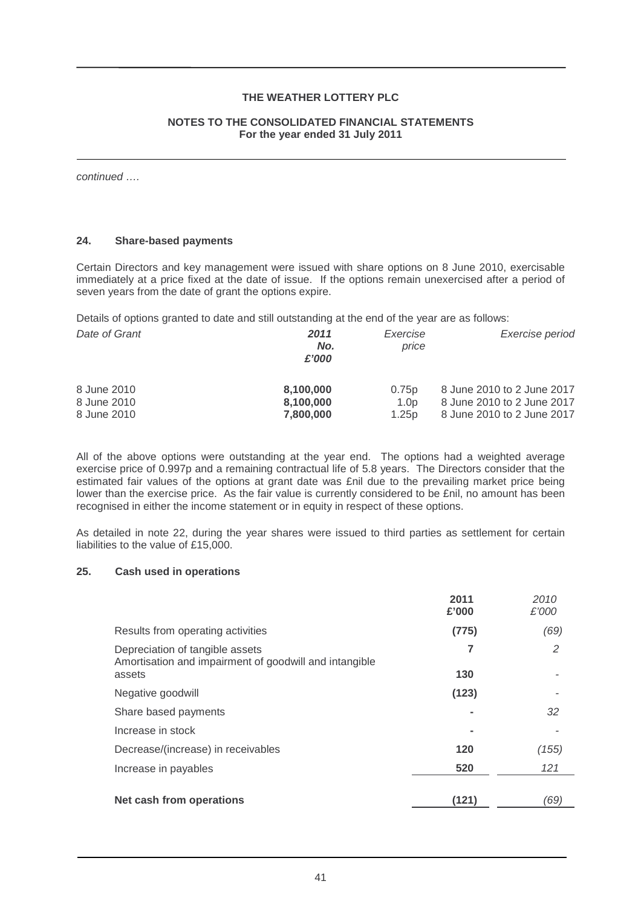#### **NOTES TO THE CONSOLIDATED FINANCIAL STATEMENTS For the year ended 31 July 2011**

continued ….

#### **24. Share-based payments**

Certain Directors and key management were issued with share options on 8 June 2010, exercisable immediately at a price fixed at the date of issue. If the options remain unexercised after a period of seven years from the date of grant the options expire.

Details of options granted to date and still outstanding at the end of the year are as follows:

| Date of Grant | 2011<br>No.<br>£'000 | Exercise<br>price | Exercise period            |
|---------------|----------------------|-------------------|----------------------------|
| 8 June 2010   | 8,100,000            | 0.75p             | 8 June 2010 to 2 June 2017 |
| 8 June 2010   | 8,100,000            | 1.0 <sub>p</sub>  | 8 June 2010 to 2 June 2017 |
| 8 June 2010   | 7,800,000            | 1.25p             | 8 June 2010 to 2 June 2017 |

All of the above options were outstanding at the year end. The options had a weighted average exercise price of 0.997p and a remaining contractual life of 5.8 years. The Directors consider that the estimated fair values of the options at grant date was £nil due to the prevailing market price being lower than the exercise price. As the fair value is currently considered to be £nil, no amount has been recognised in either the income statement or in equity in respect of these options.

As detailed in note 22, during the year shares were issued to third parties as settlement for certain liabilities to the value of £15,000.

# **25. Cash used in operations**

|                                                                                                     | 2011<br>£'000  | 2010<br>£'000 |
|-----------------------------------------------------------------------------------------------------|----------------|---------------|
| Results from operating activities                                                                   | (775)          | (69)          |
| Depreciation of tangible assets<br>Amortisation and impairment of goodwill and intangible<br>assets | 7<br>130       | 2             |
| Negative goodwill                                                                                   | (123)          |               |
| Share based payments                                                                                |                | 32            |
| Increase in stock                                                                                   | $\blacksquare$ |               |
| Decrease/(increase) in receivables                                                                  | 120            | (155)         |
| Increase in payables                                                                                | 520            | 121           |
| Net cash from operations                                                                            | (121)          | (69)          |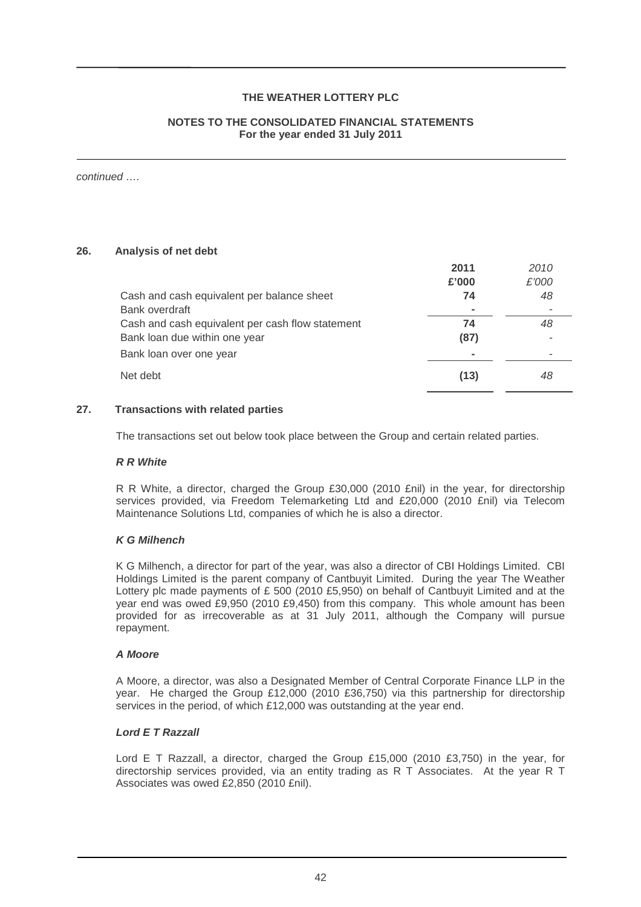#### **NOTES TO THE CONSOLIDATED FINANCIAL STATEMENTS For the year ended 31 July 2011**

continued ….

#### **26. Analysis of net debt**

|                                                  | 2011  | 2010  |
|--------------------------------------------------|-------|-------|
|                                                  | £'000 | £'000 |
| Cash and cash equivalent per balance sheet       | 74    | 48    |
| Bank overdraft                                   |       |       |
| Cash and cash equivalent per cash flow statement | 74    | 48    |
| Bank loan due within one year                    | (87)  |       |
| Bank loan over one year                          |       |       |
| Net debt                                         | (13)  | 48    |

# **27. Transactions with related parties**

The transactions set out below took place between the Group and certain related parties.

#### **R R White**

R R White, a director, charged the Group £30,000 (2010 £nil) in the year, for directorship services provided, via Freedom Telemarketing Ltd and £20,000 (2010 £nil) via Telecom Maintenance Solutions Ltd, companies of which he is also a director.

#### **K G Milhench**

K G Milhench, a director for part of the year, was also a director of CBI Holdings Limited. CBI Holdings Limited is the parent company of Cantbuyit Limited. During the year The Weather Lottery plc made payments of £ 500 (2010 £5,950) on behalf of Cantbuyit Limited and at the year end was owed £9,950 (2010 £9,450) from this company. This whole amount has been provided for as irrecoverable as at 31 July 2011, although the Company will pursue repayment.

## **A Moore**

A Moore, a director, was also a Designated Member of Central Corporate Finance LLP in the year. He charged the Group £12,000 (2010 £36,750) via this partnership for directorship services in the period, of which £12,000 was outstanding at the year end.

### **Lord E T Razzall**

Lord E T Razzall, a director, charged the Group £15,000 (2010 £3,750) in the year, for directorship services provided, via an entity trading as R T Associates. At the year R T Associates was owed £2,850 (2010 £nil).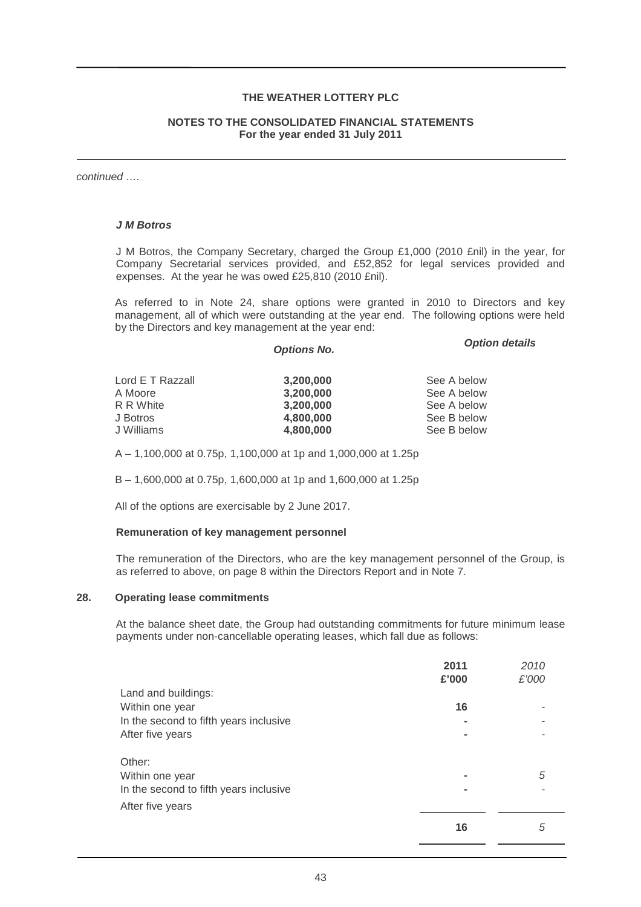#### **NOTES TO THE CONSOLIDATED FINANCIAL STATEMENTS For the year ended 31 July 2011**

continued ….

#### **J M Botros**

J M Botros, the Company Secretary, charged the Group £1,000 (2010 £nil) in the year, for Company Secretarial services provided, and £52,852 for legal services provided and expenses. At the year he was owed £25,810 (2010 £nil).

As referred to in Note 24, share options were granted in 2010 to Directors and key management, all of which were outstanding at the year end. The following options were held by the Directors and key management at the year end:

**Options No. Option details** 

| Lord E T Razzall<br>A Moore<br>R R White | 3.200.000<br>3.200.000<br>3.200.000 | See A below<br>See A below<br>See A below |
|------------------------------------------|-------------------------------------|-------------------------------------------|
| J Botros                                 | 4.800.000                           | See B below                               |
| J Williams                               | 4.800.000                           | See B below                               |
|                                          |                                     |                                           |

A – 1,100,000 at 0.75p, 1,100,000 at 1p and 1,000,000 at 1.25p

B – 1,600,000 at 0.75p, 1,600,000 at 1p and 1,600,000 at 1.25p

All of the options are exercisable by 2 June 2017.

#### **Remuneration of key management personnel**

The remuneration of the Directors, who are the key management personnel of the Group, is as referred to above, on page 8 within the Directors Report and in Note 7.

#### **28. Operating lease commitments**

At the balance sheet date, the Group had outstanding commitments for future minimum lease payments under non-cancellable operating leases, which fall due as follows:

|                                        | 2011<br>£'000 | 2010<br>£'000 |
|----------------------------------------|---------------|---------------|
| Land and buildings:                    |               |               |
| Within one year                        | 16            |               |
| In the second to fifth years inclusive |               |               |
| After five years                       |               |               |
| Other:                                 |               |               |
| Within one year                        |               | 5             |
| In the second to fifth years inclusive |               |               |
| After five years                       |               |               |
|                                        | 16            | 5             |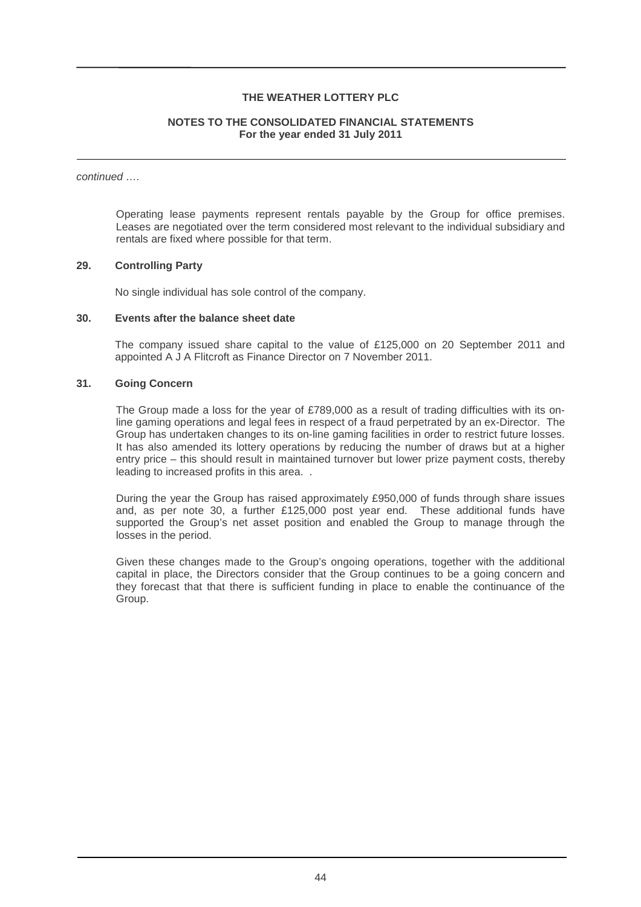#### **NOTES TO THE CONSOLIDATED FINANCIAL STATEMENTS For the year ended 31 July 2011**

continued ….

Operating lease payments represent rentals payable by the Group for office premises. Leases are negotiated over the term considered most relevant to the individual subsidiary and rentals are fixed where possible for that term.

#### **29. Controlling Party**

No single individual has sole control of the company.

#### **30. Events after the balance sheet date**

The company issued share capital to the value of £125,000 on 20 September 2011 and appointed A J A Flitcroft as Finance Director on 7 November 2011.

# **31. Going Concern**

The Group made a loss for the year of £789,000 as a result of trading difficulties with its online gaming operations and legal fees in respect of a fraud perpetrated by an ex-Director. The Group has undertaken changes to its on-line gaming facilities in order to restrict future losses. It has also amended its lottery operations by reducing the number of draws but at a higher entry price – this should result in maintained turnover but lower prize payment costs, thereby leading to increased profits in this area. .

During the year the Group has raised approximately £950,000 of funds through share issues and, as per note 30, a further £125,000 post year end. These additional funds have supported the Group's net asset position and enabled the Group to manage through the losses in the period.

Given these changes made to the Group's ongoing operations, together with the additional capital in place, the Directors consider that the Group continues to be a going concern and they forecast that that there is sufficient funding in place to enable the continuance of the Group.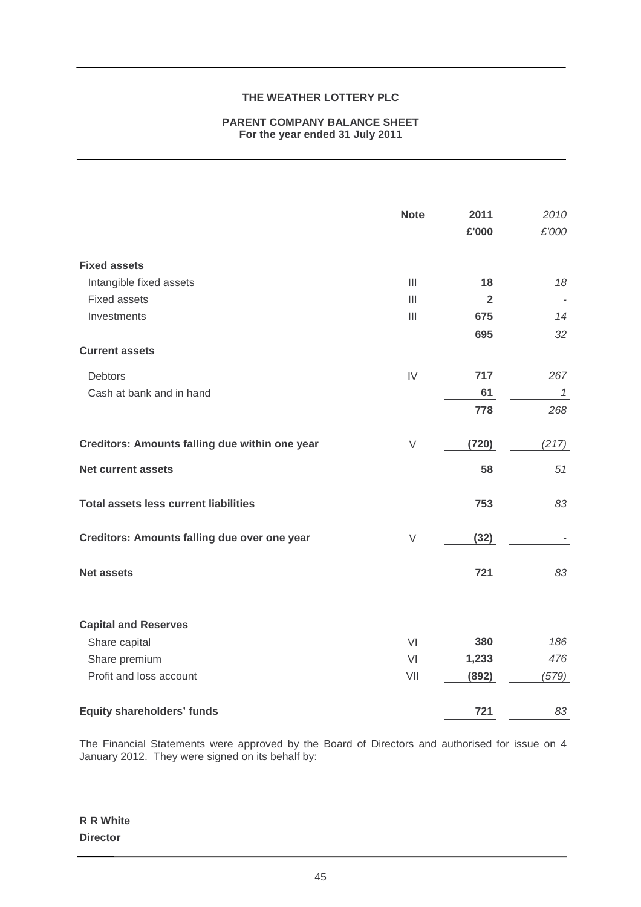#### **PARENT COMPANY BALANCE SHEET For the year ended 31 July 2011**

|                                                     | <b>Note</b>                           | 2011<br>£'000  | 2010<br>£'000 |
|-----------------------------------------------------|---------------------------------------|----------------|---------------|
| <b>Fixed assets</b>                                 |                                       |                |               |
| Intangible fixed assets                             | $\mathbf{III}$                        | 18             | 18            |
| <b>Fixed assets</b>                                 | $\mathbf{III}$                        | $\overline{2}$ |               |
| Investments                                         | $\begin{array}{c} \hline \end{array}$ | 675            | 14            |
|                                                     |                                       | 695            | 32            |
| <b>Current assets</b>                               |                                       |                |               |
| <b>Debtors</b>                                      | IV                                    | 717            | 267           |
| Cash at bank and in hand                            |                                       | 61             | $\mathcal I$  |
|                                                     |                                       | 778            | 268           |
| Creditors: Amounts falling due within one year      | $\vee$                                | (720)          | (217)         |
| <b>Net current assets</b>                           |                                       | 58             | 51            |
| <b>Total assets less current liabilities</b>        |                                       | 753            | 83            |
| <b>Creditors: Amounts falling due over one year</b> | $\vee$                                | (32)           |               |
| <b>Net assets</b>                                   |                                       | 721            | 83            |
| <b>Capital and Reserves</b>                         |                                       |                |               |
| Share capital                                       | VI                                    | 380            | 186           |
| Share premium                                       | VI                                    | 1,233          | 476           |
| Profit and loss account                             | VII                                   | (892)          | (579)         |
| <b>Equity shareholders' funds</b>                   |                                       | 721            | 83            |

The Financial Statements were approved by the Board of Directors and authorised for issue on 4 January 2012. They were signed on its behalf by:

**R R White Director**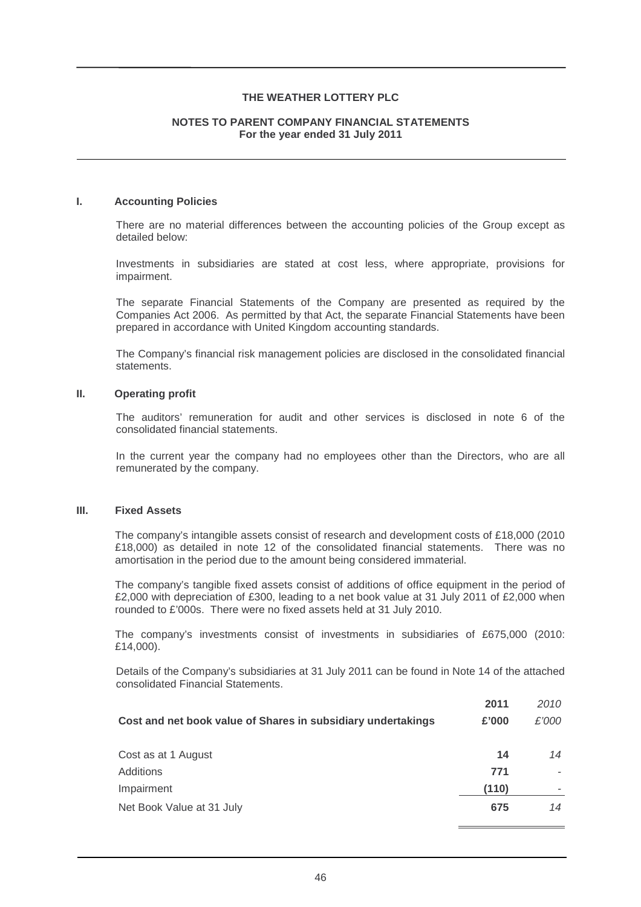#### **NOTES TO PARENT COMPANY FINANCIAL STATEMENTS For the year ended 31 July 2011**

#### **I. Accounting Policies**

There are no material differences between the accounting policies of the Group except as detailed below:

Investments in subsidiaries are stated at cost less, where appropriate, provisions for impairment.

The separate Financial Statements of the Company are presented as required by the Companies Act 2006. As permitted by that Act, the separate Financial Statements have been prepared in accordance with United Kingdom accounting standards.

The Company's financial risk management policies are disclosed in the consolidated financial statements.

#### **II. Operating profit**

The auditors' remuneration for audit and other services is disclosed in note 6 of the consolidated financial statements.

In the current year the company had no employees other than the Directors, who are all remunerated by the company.

#### **III. Fixed Assets**

The company's intangible assets consist of research and development costs of £18,000 (2010 £18,000) as detailed in note 12 of the consolidated financial statements. There was no amortisation in the period due to the amount being considered immaterial.

The company's tangible fixed assets consist of additions of office equipment in the period of £2,000 with depreciation of £300, leading to a net book value at 31 July 2011 of £2,000 when rounded to £'000s. There were no fixed assets held at 31 July 2010.

The company's investments consist of investments in subsidiaries of £675,000 (2010: £14,000).

Details of the Company's subsidiaries at 31 July 2011 can be found in Note 14 of the attached consolidated Financial Statements.

| Cost and net book value of Shares in subsidiary undertakings | 2011<br>£'000 | 2010<br>£'000 |
|--------------------------------------------------------------|---------------|---------------|
| Cost as at 1 August                                          | 14            | 14            |
| Additions                                                    | 771           |               |
| Impairment                                                   | (110)         |               |
| Net Book Value at 31 July                                    | 675           | 14            |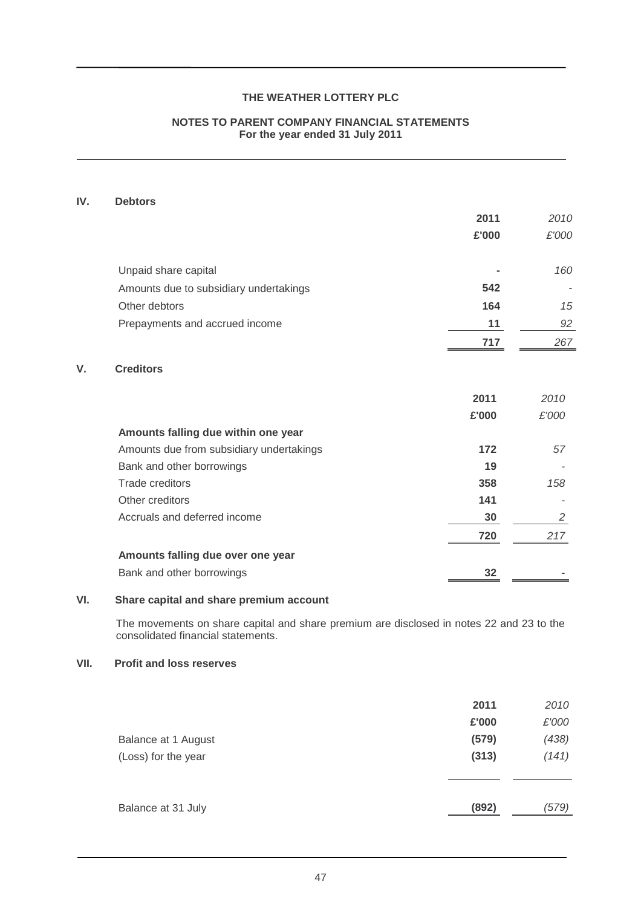#### **NOTES TO PARENT COMPANY FINANCIAL STATEMENTS For the year ended 31 July 2011**

# **IV. Debtors**

**V**.

|                                          | 2011  | 2010  |
|------------------------------------------|-------|-------|
|                                          | £'000 | £'000 |
| Unpaid share capital                     |       | 160   |
| Amounts due to subsidiary undertakings   | 542   |       |
| Other debtors                            | 164   | 15    |
| Prepayments and accrued income           | 11    | 92    |
|                                          | 717   | 267   |
| <b>Creditors</b>                         |       |       |
|                                          | 2011  | 2010  |
|                                          | £'000 | £'000 |
| Amounts falling due within one year      |       |       |
| Amounts due from subsidiary undertakings | 172   | 57    |
| Bank and other borrowings                | 19    |       |
| <b>Trade creditors</b>                   | 358   | 158   |
| Other creditors                          | 141   |       |
| Accruals and deferred income             | 30    | 2     |
|                                          | 720   | 217   |
| Amounts falling due over one year        |       |       |
| Bank and other borrowings                | 32    |       |

# **VI. Share capital and share premium account**

The movements on share capital and share premium are disclosed in notes 22 and 23 to the consolidated financial statements.

### **VII. Profit and loss reserves**

| Balance at 1 August<br>(Loss) for the year | 2011<br>£'000<br>(579)<br>(313) | 2010<br>£'000<br>(438)<br>(141) |
|--------------------------------------------|---------------------------------|---------------------------------|
| Balance at 31 July                         | (892)                           | (579)                           |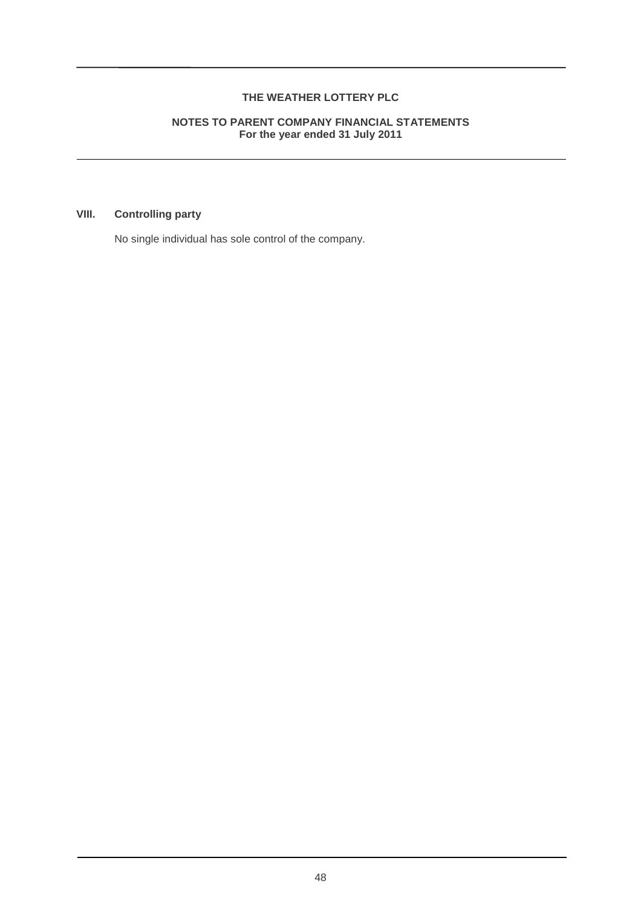#### **NOTES TO PARENT COMPANY FINANCIAL STATEMENTS For the year ended 31 July 2011**

# **VIII. Controlling party**

No single individual has sole control of the company.